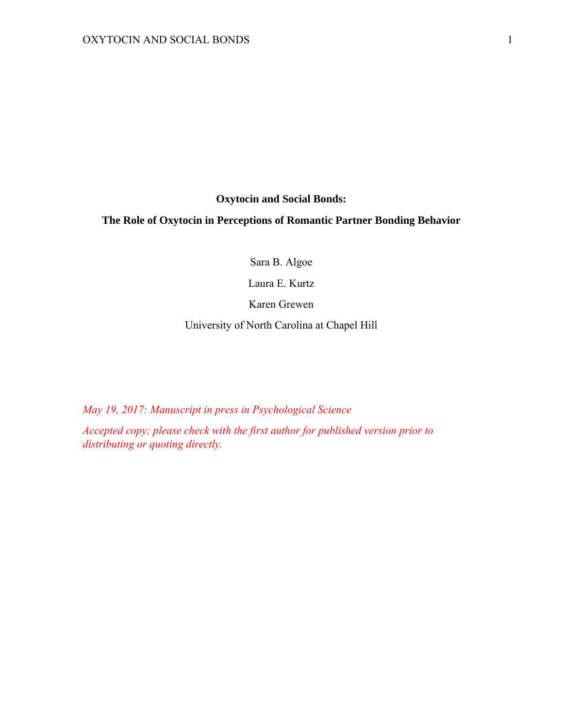# **Oxytocin and Social Bonds:**

# **The Role of Oxytocin in Perceptions of Romantic Partner Bonding Behavior**

Sara B. Algoe

Laura E. Kurtz

Karen Grewen

University of North Carolina at Chapel Hill

*May 19, 2017: Manuscript in press in Psychological Science* 

*Accepted copy; please check with the first author for published version prior to distributing or quoting directly.*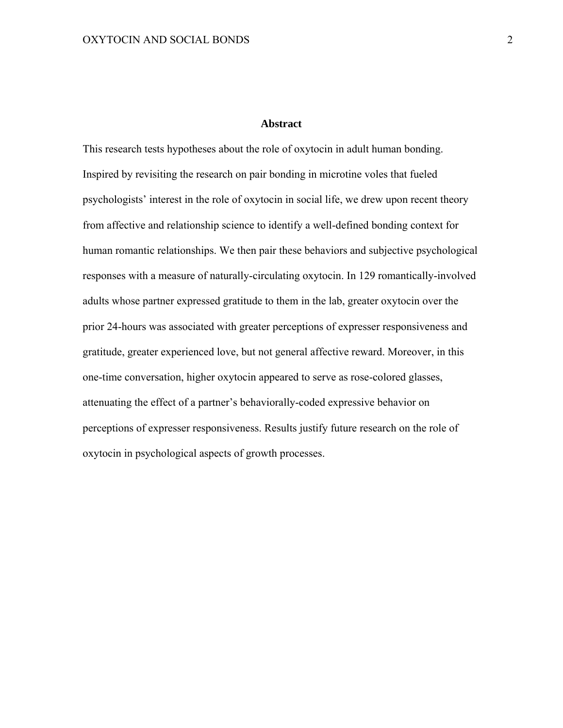### **Abstract**

This research tests hypotheses about the role of oxytocin in adult human bonding. Inspired by revisiting the research on pair bonding in microtine voles that fueled psychologists' interest in the role of oxytocin in social life, we drew upon recent theory from affective and relationship science to identify a well-defined bonding context for human romantic relationships. We then pair these behaviors and subjective psychological responses with a measure of naturally-circulating oxytocin. In 129 romantically-involved adults whose partner expressed gratitude to them in the lab, greater oxytocin over the prior 24-hours was associated with greater perceptions of expresser responsiveness and gratitude, greater experienced love, but not general affective reward. Moreover, in this one-time conversation, higher oxytocin appeared to serve as rose-colored glasses, attenuating the effect of a partner's behaviorally-coded expressive behavior on perceptions of expresser responsiveness. Results justify future research on the role of oxytocin in psychological aspects of growth processes.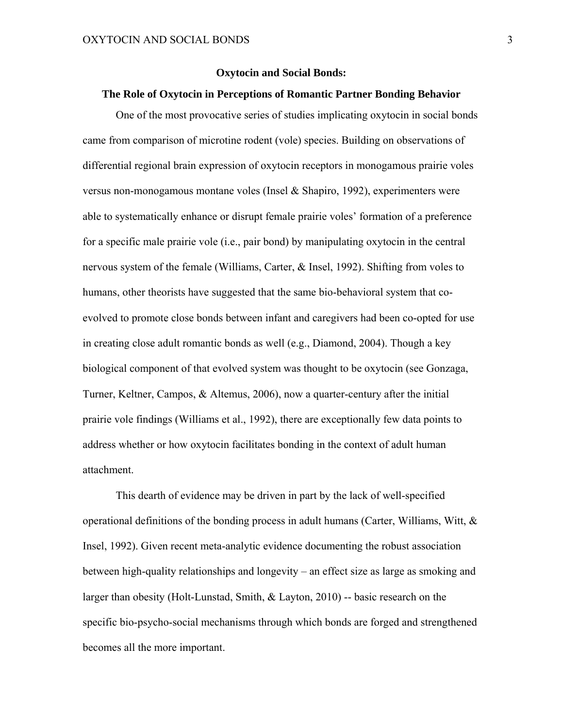#### **Oxytocin and Social Bonds:**

#### **The Role of Oxytocin in Perceptions of Romantic Partner Bonding Behavior**

One of the most provocative series of studies implicating oxytocin in social bonds came from comparison of microtine rodent (vole) species. Building on observations of differential regional brain expression of oxytocin receptors in monogamous prairie voles versus non-monogamous montane voles (Insel & Shapiro, 1992), experimenters were able to systematically enhance or disrupt female prairie voles' formation of a preference for a specific male prairie vole (i.e., pair bond) by manipulating oxytocin in the central nervous system of the female (Williams, Carter, & Insel, 1992). Shifting from voles to humans, other theorists have suggested that the same bio-behavioral system that coevolved to promote close bonds between infant and caregivers had been co-opted for use in creating close adult romantic bonds as well (e.g., Diamond, 2004). Though a key biological component of that evolved system was thought to be oxytocin (see Gonzaga, Turner, Keltner, Campos, & Altemus, 2006), now a quarter-century after the initial prairie vole findings (Williams et al., 1992), there are exceptionally few data points to address whether or how oxytocin facilitates bonding in the context of adult human attachment.

This dearth of evidence may be driven in part by the lack of well-specified operational definitions of the bonding process in adult humans (Carter, Williams, Witt, & Insel, 1992). Given recent meta-analytic evidence documenting the robust association between high-quality relationships and longevity – an effect size as large as smoking and larger than obesity (Holt-Lunstad, Smith, & Layton, 2010) -- basic research on the specific bio-psycho-social mechanisms through which bonds are forged and strengthened becomes all the more important.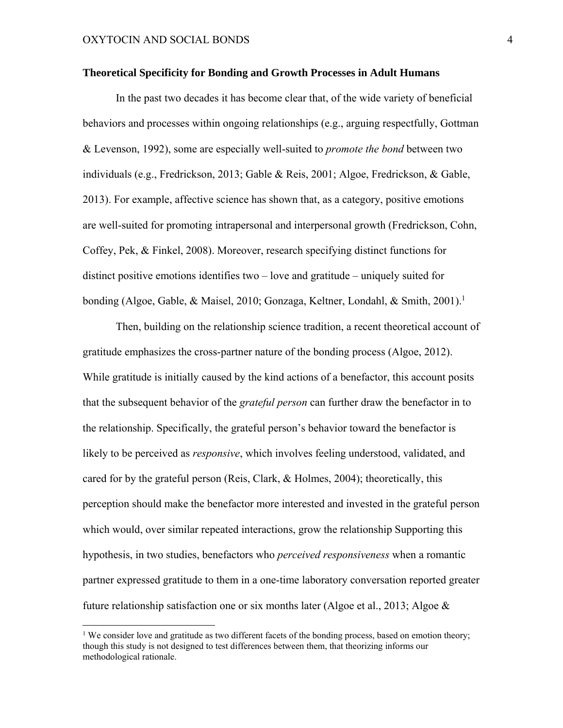#### **Theoretical Specificity for Bonding and Growth Processes in Adult Humans**

In the past two decades it has become clear that, of the wide variety of beneficial behaviors and processes within ongoing relationships (e.g., arguing respectfully, Gottman & Levenson, 1992), some are especially well-suited to *promote the bond* between two individuals (e.g., Fredrickson, 2013; Gable & Reis, 2001; Algoe, Fredrickson, & Gable, 2013). For example, affective science has shown that, as a category, positive emotions are well-suited for promoting intrapersonal and interpersonal growth (Fredrickson, Cohn, Coffey, Pek, & Finkel, 2008). Moreover, research specifying distinct functions for distinct positive emotions identifies two – love and gratitude – uniquely suited for bonding (Algoe, Gable, & Maisel, 2010; Gonzaga, Keltner, Londahl, & Smith, 2001).<sup>1</sup>

Then, building on the relationship science tradition, a recent theoretical account of gratitude emphasizes the cross-partner nature of the bonding process (Algoe, 2012). While gratitude is initially caused by the kind actions of a benefactor, this account posits that the subsequent behavior of the *grateful person* can further draw the benefactor in to the relationship. Specifically, the grateful person's behavior toward the benefactor is likely to be perceived as *responsive*, which involves feeling understood, validated, and cared for by the grateful person (Reis, Clark,  $\&$  Holmes, 2004); theoretically, this perception should make the benefactor more interested and invested in the grateful person which would, over similar repeated interactions, grow the relationship Supporting this hypothesis, in two studies, benefactors who *perceived responsiveness* when a romantic partner expressed gratitude to them in a one-time laboratory conversation reported greater future relationship satisfaction one or six months later (Algoe et al., 2013; Algoe  $\&$ 

<sup>&</sup>lt;sup>1</sup> We consider love and gratitude as two different facets of the bonding process, based on emotion theory; though this study is not designed to test differences between them, that theorizing informs our methodological rationale.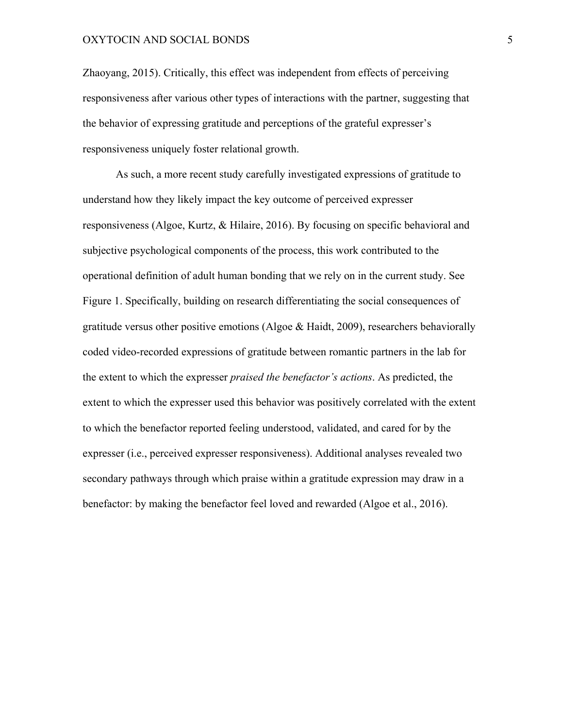Zhaoyang, 2015). Critically, this effect was independent from effects of perceiving responsiveness after various other types of interactions with the partner, suggesting that the behavior of expressing gratitude and perceptions of the grateful expresser's responsiveness uniquely foster relational growth.

As such, a more recent study carefully investigated expressions of gratitude to understand how they likely impact the key outcome of perceived expresser responsiveness (Algoe, Kurtz, & Hilaire, 2016). By focusing on specific behavioral and subjective psychological components of the process, this work contributed to the operational definition of adult human bonding that we rely on in the current study. See Figure 1. Specifically, building on research differentiating the social consequences of gratitude versus other positive emotions (Algoe  $\&$  Haidt, 2009), researchers behaviorally coded video-recorded expressions of gratitude between romantic partners in the lab for the extent to which the expresser *praised the benefactor's actions*. As predicted, the extent to which the expresser used this behavior was positively correlated with the extent to which the benefactor reported feeling understood, validated, and cared for by the expresser (i.e., perceived expresser responsiveness). Additional analyses revealed two secondary pathways through which praise within a gratitude expression may draw in a benefactor: by making the benefactor feel loved and rewarded (Algoe et al., 2016).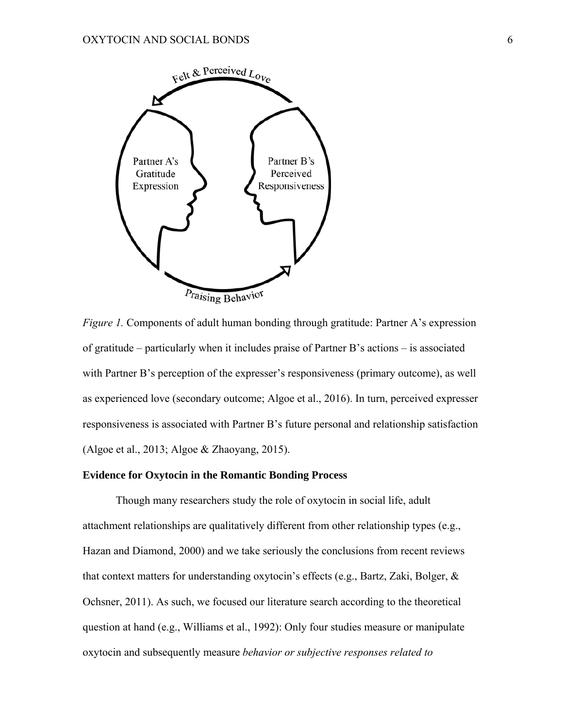

*Figure 1.* Components of adult human bonding through gratitude: Partner A's expression of gratitude – particularly when it includes praise of Partner B's actions – is associated with Partner B's perception of the expresser's responsiveness (primary outcome), as well as experienced love (secondary outcome; Algoe et al., 2016). In turn, perceived expresser responsiveness is associated with Partner B's future personal and relationship satisfaction (Algoe et al., 2013; Algoe & Zhaoyang, 2015).

#### **Evidence for Oxytocin in the Romantic Bonding Process**

Though many researchers study the role of oxytocin in social life, adult attachment relationships are qualitatively different from other relationship types (e.g., Hazan and Diamond, 2000) and we take seriously the conclusions from recent reviews that context matters for understanding oxytocin's effects (e.g., Bartz, Zaki, Bolger, & Ochsner, 2011). As such, we focused our literature search according to the theoretical question at hand (e.g., Williams et al., 1992): Only four studies measure or manipulate oxytocin and subsequently measure *behavior or subjective responses related to*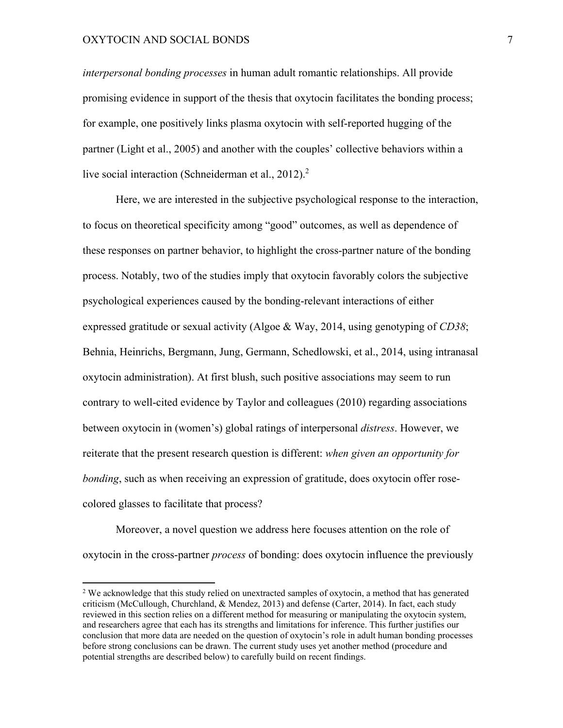### OXYTOCIN AND SOCIAL BONDS 7

*interpersonal bonding processes* in human adult romantic relationships. All provide promising evidence in support of the thesis that oxytocin facilitates the bonding process; for example, one positively links plasma oxytocin with self-reported hugging of the partner (Light et al., 2005) and another with the couples' collective behaviors within a live social interaction (Schneiderman et al., 2012).<sup>2</sup>

Here, we are interested in the subjective psychological response to the interaction, to focus on theoretical specificity among "good" outcomes, as well as dependence of these responses on partner behavior, to highlight the cross-partner nature of the bonding process. Notably, two of the studies imply that oxytocin favorably colors the subjective psychological experiences caused by the bonding-relevant interactions of either expressed gratitude or sexual activity (Algoe & Way, 2014, using genotyping of *CD38*; Behnia, Heinrichs, Bergmann, Jung, Germann, Schedlowski, et al., 2014, using intranasal oxytocin administration). At first blush, such positive associations may seem to run contrary to well-cited evidence by Taylor and colleagues (2010) regarding associations between oxytocin in (women's) global ratings of interpersonal *distress*. However, we reiterate that the present research question is different: *when given an opportunity for bonding*, such as when receiving an expression of gratitude, does oxytocin offer rosecolored glasses to facilitate that process?

Moreover, a novel question we address here focuses attention on the role of oxytocin in the cross-partner *process* of bonding: does oxytocin influence the previously

<sup>&</sup>lt;sup>2</sup> We acknowledge that this study relied on unextracted samples of oxytocin, a method that has generated criticism (McCullough, Churchland, & Mendez, 2013) and defense (Carter, 2014). In fact, each study reviewed in this section relies on a different method for measuring or manipulating the oxytocin system, and researchers agree that each has its strengths and limitations for inference. This further justifies our conclusion that more data are needed on the question of oxytocin's role in adult human bonding processes before strong conclusions can be drawn. The current study uses yet another method (procedure and potential strengths are described below) to carefully build on recent findings.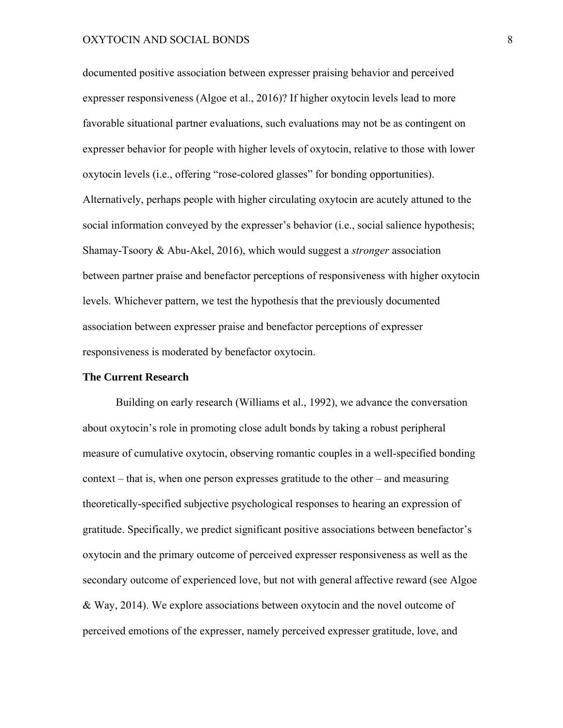#### OXYTOCIN AND SOCIAL BONDS 8

documented positive association between expresser praising behavior and perceived expresser responsiveness (Algoe et al., 2016)? If higher oxytocin levels lead to more favorable situational partner evaluations, such evaluations may not be as contingent on expresser behavior for people with higher levels of oxytocin, relative to those with lower oxytocin levels (i.e., offering "rose-colored glasses" for bonding opportunities). Alternatively, perhaps people with higher circulating oxytocin are acutely attuned to the social information conveyed by the expresser's behavior (i.e., social salience hypothesis; Shamay-Tsoory & Abu-Akel, 2016), which would suggest a *stronger* association between partner praise and benefactor perceptions of responsiveness with higher oxytocin levels. Whichever pattern, we test the hypothesis that the previously documented association between expresser praise and benefactor perceptions of expresser responsiveness is moderated by benefactor oxytocin.

#### **The Current Research**

Building on early research (Williams et al., 1992), we advance the conversation about oxytocin's role in promoting close adult bonds by taking a robust peripheral measure of cumulative oxytocin, observing romantic couples in a well-specified bonding context – that is, when one person expresses gratitude to the other – and measuring theoretically-specified subjective psychological responses to hearing an expression of gratitude. Specifically, we predict significant positive associations between benefactor's oxytocin and the primary outcome of perceived expresser responsiveness as well as the secondary outcome of experienced love, but not with general affective reward (see Algoe & Way, 2014). We explore associations between oxytocin and the novel outcome of perceived emotions of the expresser, namely perceived expresser gratitude, love, and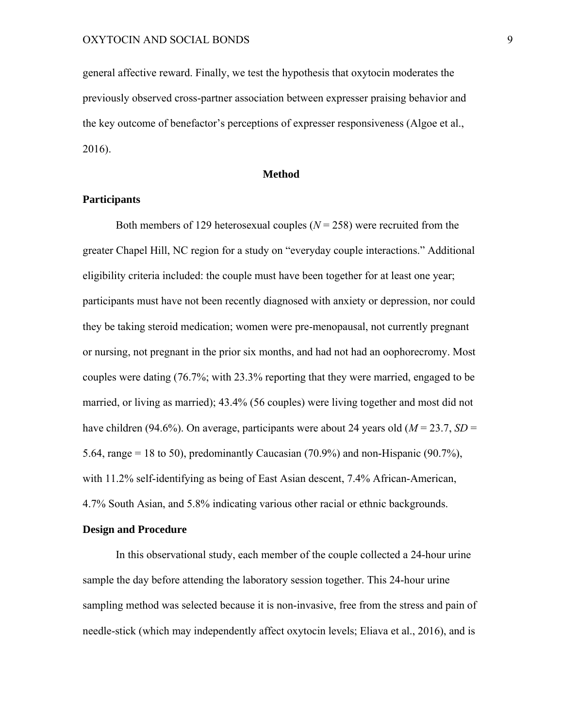general affective reward. Finally, we test the hypothesis that oxytocin moderates the previously observed cross-partner association between expresser praising behavior and the key outcome of benefactor's perceptions of expresser responsiveness (Algoe et al., 2016).

#### **Method**

#### **Participants**

Both members of 129 heterosexual couples (*N* = 258) were recruited from the greater Chapel Hill, NC region for a study on "everyday couple interactions." Additional eligibility criteria included: the couple must have been together for at least one year; participants must have not been recently diagnosed with anxiety or depression, nor could they be taking steroid medication; women were pre-menopausal, not currently pregnant or nursing, not pregnant in the prior six months, and had not had an oophorecromy. Most couples were dating (76.7%; with 23.3% reporting that they were married, engaged to be married, or living as married); 43.4% (56 couples) were living together and most did not have children (94.6%). On average, participants were about 24 years old (*M* = 23.7, *SD* = 5.64, range = 18 to 50), predominantly Caucasian  $(70.9\%)$  and non-Hispanic  $(90.7\%)$ , with 11.2% self-identifying as being of East Asian descent, 7.4% African-American, 4.7% South Asian, and 5.8% indicating various other racial or ethnic backgrounds.

#### **Design and Procedure**

 In this observational study, each member of the couple collected a 24-hour urine sample the day before attending the laboratory session together. This 24-hour urine sampling method was selected because it is non-invasive, free from the stress and pain of needle-stick (which may independently affect oxytocin levels; Eliava et al., 2016), and is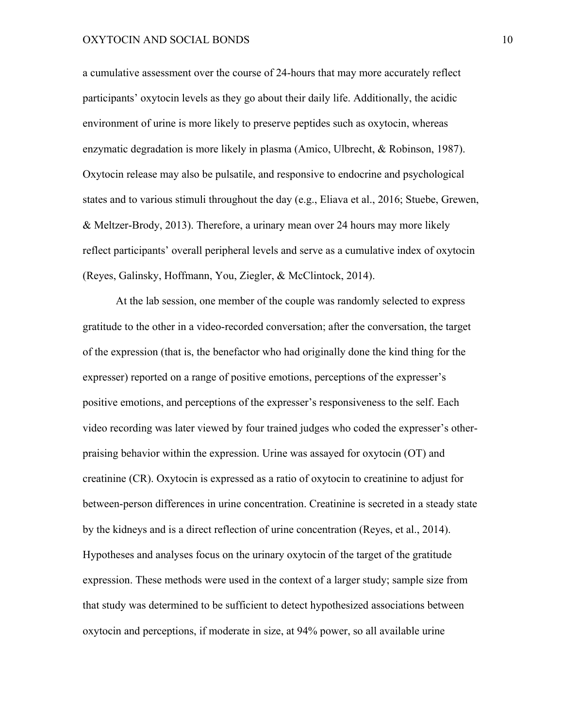a cumulative assessment over the course of 24-hours that may more accurately reflect participants' oxytocin levels as they go about their daily life. Additionally, the acidic environment of urine is more likely to preserve peptides such as oxytocin, whereas enzymatic degradation is more likely in plasma (Amico, Ulbrecht, & Robinson, 1987). Oxytocin release may also be pulsatile, and responsive to endocrine and psychological states and to various stimuli throughout the day (e.g., Eliava et al., 2016; Stuebe, Grewen, & Meltzer-Brody, 2013). Therefore, a urinary mean over 24 hours may more likely reflect participants' overall peripheral levels and serve as a cumulative index of oxytocin (Reyes, Galinsky, Hoffmann, You, Ziegler, & McClintock, 2014).

 At the lab session, one member of the couple was randomly selected to express gratitude to the other in a video-recorded conversation; after the conversation, the target of the expression (that is, the benefactor who had originally done the kind thing for the expresser) reported on a range of positive emotions, perceptions of the expresser's positive emotions, and perceptions of the expresser's responsiveness to the self. Each video recording was later viewed by four trained judges who coded the expresser's otherpraising behavior within the expression. Urine was assayed for oxytocin (OT) and creatinine (CR). Oxytocin is expressed as a ratio of oxytocin to creatinine to adjust for between-person differences in urine concentration. Creatinine is secreted in a steady state by the kidneys and is a direct reflection of urine concentration (Reyes, et al., 2014). Hypotheses and analyses focus on the urinary oxytocin of the target of the gratitude expression. These methods were used in the context of a larger study; sample size from that study was determined to be sufficient to detect hypothesized associations between oxytocin and perceptions, if moderate in size, at 94% power, so all available urine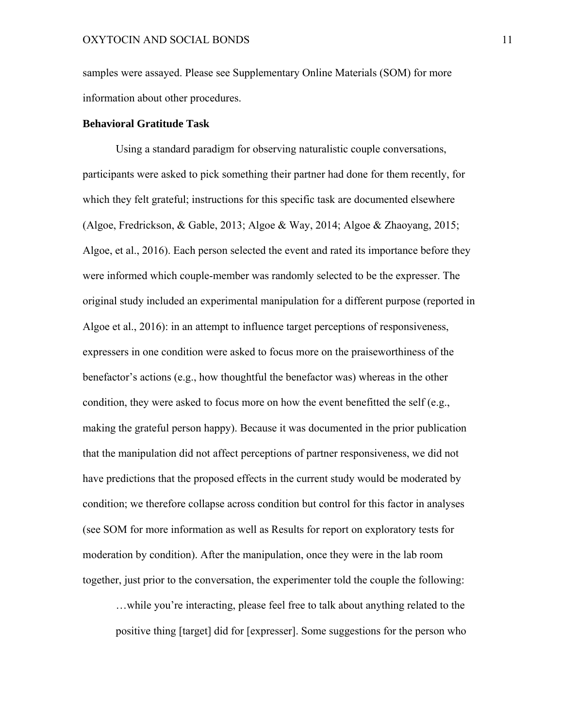samples were assayed. Please see Supplementary Online Materials (SOM) for more information about other procedures.

### **Behavioral Gratitude Task**

Using a standard paradigm for observing naturalistic couple conversations, participants were asked to pick something their partner had done for them recently, for which they felt grateful; instructions for this specific task are documented elsewhere (Algoe, Fredrickson, & Gable, 2013; Algoe & Way, 2014; Algoe & Zhaoyang, 2015; Algoe, et al., 2016). Each person selected the event and rated its importance before they were informed which couple-member was randomly selected to be the expresser. The original study included an experimental manipulation for a different purpose (reported in Algoe et al., 2016): in an attempt to influence target perceptions of responsiveness, expressers in one condition were asked to focus more on the praiseworthiness of the benefactor's actions (e.g., how thoughtful the benefactor was) whereas in the other condition, they were asked to focus more on how the event benefitted the self (e.g., making the grateful person happy). Because it was documented in the prior publication that the manipulation did not affect perceptions of partner responsiveness, we did not have predictions that the proposed effects in the current study would be moderated by condition; we therefore collapse across condition but control for this factor in analyses (see SOM for more information as well as Results for report on exploratory tests for moderation by condition). After the manipulation, once they were in the lab room together, just prior to the conversation, the experimenter told the couple the following:

…while you're interacting, please feel free to talk about anything related to the positive thing [target] did for [expresser]. Some suggestions for the person who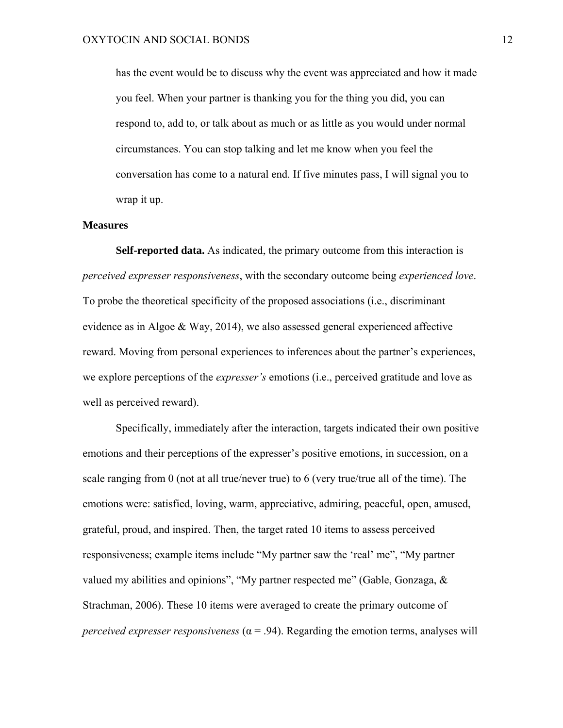has the event would be to discuss why the event was appreciated and how it made you feel. When your partner is thanking you for the thing you did, you can respond to, add to, or talk about as much or as little as you would under normal circumstances. You can stop talking and let me know when you feel the conversation has come to a natural end. If five minutes pass, I will signal you to wrap it up.

### **Measures**

**Self-reported data.** As indicated, the primary outcome from this interaction is *perceived expresser responsiveness*, with the secondary outcome being *experienced love*. To probe the theoretical specificity of the proposed associations (i.e., discriminant evidence as in Algoe & Way, 2014), we also assessed general experienced affective reward. Moving from personal experiences to inferences about the partner's experiences, we explore perceptions of the *expresser's* emotions (i.e., perceived gratitude and love as well as perceived reward).

Specifically, immediately after the interaction, targets indicated their own positive emotions and their perceptions of the expresser's positive emotions, in succession, on a scale ranging from 0 (not at all true/never true) to 6 (very true/true all of the time). The emotions were: satisfied, loving, warm, appreciative, admiring, peaceful, open, amused, grateful, proud, and inspired. Then, the target rated 10 items to assess perceived responsiveness; example items include "My partner saw the 'real' me", "My partner valued my abilities and opinions", "My partner respected me" (Gable, Gonzaga, & Strachman, 2006). These 10 items were averaged to create the primary outcome of *perceived expresser responsiveness* ( $\alpha$  = .94). Regarding the emotion terms, analyses will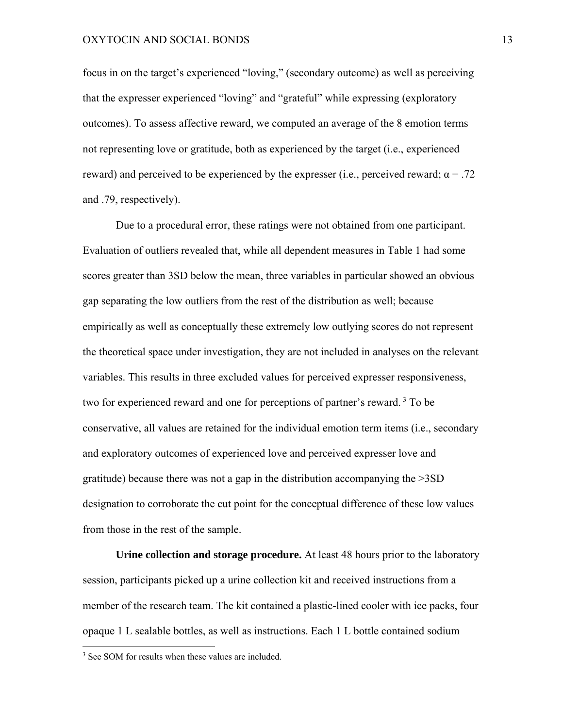#### OXYTOCIN AND SOCIAL BONDS 13

focus in on the target's experienced "loving," (secondary outcome) as well as perceiving that the expresser experienced "loving" and "grateful" while expressing (exploratory outcomes). To assess affective reward, we computed an average of the 8 emotion terms not representing love or gratitude, both as experienced by the target (i.e., experienced reward) and perceived to be experienced by the expresser (i.e., perceived reward;  $\alpha = .72$ and .79, respectively).

Due to a procedural error, these ratings were not obtained from one participant. Evaluation of outliers revealed that, while all dependent measures in Table 1 had some scores greater than 3SD below the mean, three variables in particular showed an obvious gap separating the low outliers from the rest of the distribution as well; because empirically as well as conceptually these extremely low outlying scores do not represent the theoretical space under investigation, they are not included in analyses on the relevant variables. This results in three excluded values for perceived expresser responsiveness, two for experienced reward and one for perceptions of partner's reward.<sup>3</sup> To be conservative, all values are retained for the individual emotion term items (i.e., secondary and exploratory outcomes of experienced love and perceived expresser love and gratitude) because there was not a gap in the distribution accompanying the >3SD designation to corroborate the cut point for the conceptual difference of these low values from those in the rest of the sample.

**Urine collection and storage procedure.** At least 48 hours prior to the laboratory session, participants picked up a urine collection kit and received instructions from a member of the research team. The kit contained a plastic-lined cooler with ice packs, four opaque 1 L sealable bottles, as well as instructions. Each 1 L bottle contained sodium

<sup>&</sup>lt;sup>3</sup> See SOM for results when these values are included.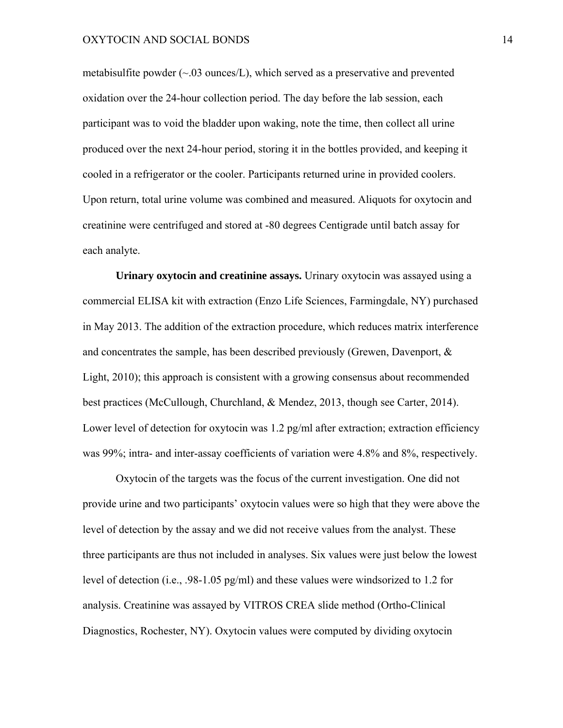metabisulfite powder  $(\sim 03$  ounces/L), which served as a preservative and prevented oxidation over the 24-hour collection period. The day before the lab session, each participant was to void the bladder upon waking, note the time, then collect all urine produced over the next 24-hour period, storing it in the bottles provided, and keeping it cooled in a refrigerator or the cooler. Participants returned urine in provided coolers. Upon return, total urine volume was combined and measured. Aliquots for oxytocin and creatinine were centrifuged and stored at -80 degrees Centigrade until batch assay for each analyte.

**Urinary oxytocin and creatinine assays.** Urinary oxytocin was assayed using a commercial ELISA kit with extraction (Enzo Life Sciences, Farmingdale, NY) purchased in May 2013. The addition of the extraction procedure, which reduces matrix interference and concentrates the sample, has been described previously (Grewen, Davenport, & Light, 2010); this approach is consistent with a growing consensus about recommended best practices (McCullough, Churchland, & Mendez, 2013, though see Carter, 2014). Lower level of detection for oxytocin was 1.2 pg/ml after extraction; extraction efficiency was 99%; intra- and inter-assay coefficients of variation were 4.8% and 8%, respectively.

Oxytocin of the targets was the focus of the current investigation. One did not provide urine and two participants' oxytocin values were so high that they were above the level of detection by the assay and we did not receive values from the analyst. These three participants are thus not included in analyses. Six values were just below the lowest level of detection (i.e., .98-1.05 pg/ml) and these values were windsorized to 1.2 for analysis. Creatinine was assayed by VITROS CREA slide method (Ortho-Clinical Diagnostics, Rochester, NY). Oxytocin values were computed by dividing oxytocin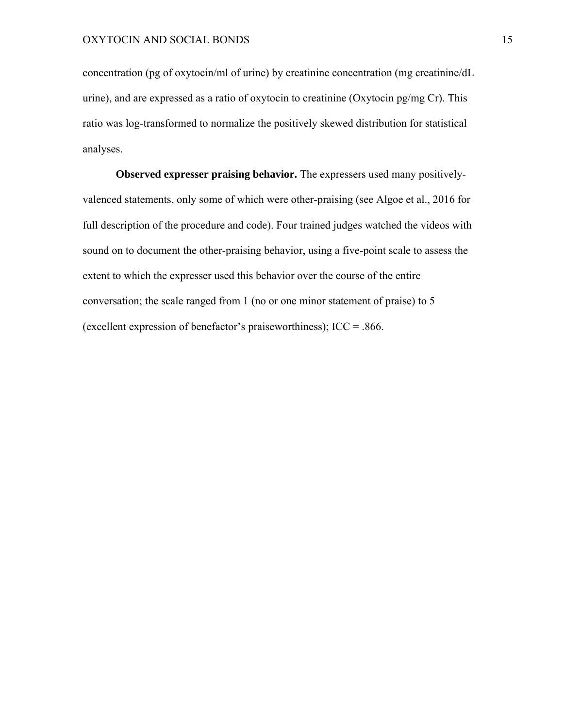concentration (pg of oxytocin/ml of urine) by creatinine concentration (mg creatinine/dL urine), and are expressed as a ratio of oxytocin to creatinine (Oxytocin pg/mg Cr). This ratio was log-transformed to normalize the positively skewed distribution for statistical analyses.

**Observed expresser praising behavior.** The expressers used many positivelyvalenced statements, only some of which were other-praising (see Algoe et al., 2016 for full description of the procedure and code). Four trained judges watched the videos with sound on to document the other-praising behavior, using a five-point scale to assess the extent to which the expresser used this behavior over the course of the entire conversation; the scale ranged from 1 (no or one minor statement of praise) to 5 (excellent expression of benefactor's praiseworthiness); ICC = .866.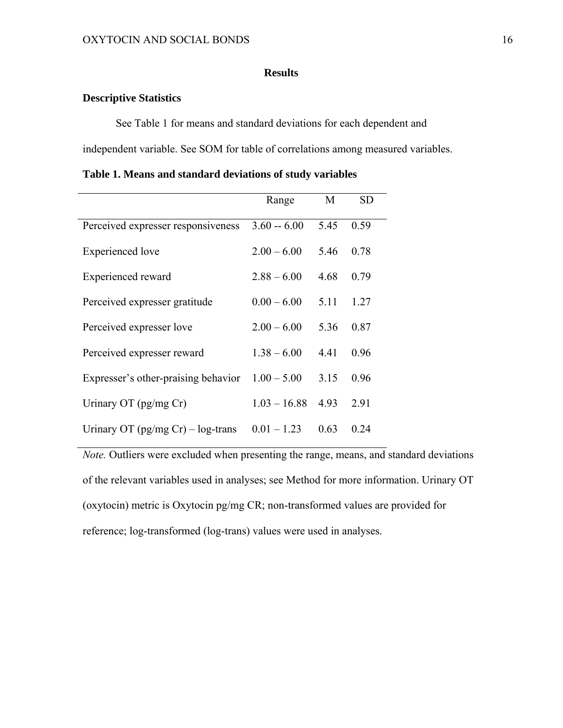## **Results**

# **Descriptive Statistics**

See Table 1 for means and standard deviations for each dependent and

independent variable. See SOM for table of correlations among measured variables.

|  |  | Table 1. Means and standard deviations of study variables |  |  |
|--|--|-----------------------------------------------------------|--|--|
|  |  |                                                           |  |  |

|                                      | Range          | M    | <b>SD</b> |
|--------------------------------------|----------------|------|-----------|
| Perceived expresser responsiveness   | $3.60 - 6.00$  | 5.45 | 0.59      |
| <b>Experienced</b> love              | $2.00 - 6.00$  | 5.46 | 0.78      |
| <b>Experienced</b> reward            | $2.88 - 6.00$  | 4.68 | 0.79      |
| Perceived expresser gratitude        | $0.00 - 6.00$  | 5.11 | 1.27      |
| Perceived expresser love             | $2.00 - 6.00$  | 5.36 | 0.87      |
| Perceived expresser reward           | $1.38 - 6.00$  | 4.41 | 0.96      |
| Expresser's other-praising behavior  | $1.00 - 5.00$  | 3.15 | 0.96      |
| Urinary OT $(pg/mg)$ Cr              | $1.03 - 16.88$ | 4.93 | 2.91      |
| Urinary OT (pg/mg $Cr$ ) – log-trans | $0.01 - 1.23$  | 0.63 | 0 24      |

*Note.* Outliers were excluded when presenting the range, means, and standard deviations of the relevant variables used in analyses; see Method for more information. Urinary OT (oxytocin) metric is Oxytocin pg/mg CR; non-transformed values are provided for reference; log-transformed (log-trans) values were used in analyses.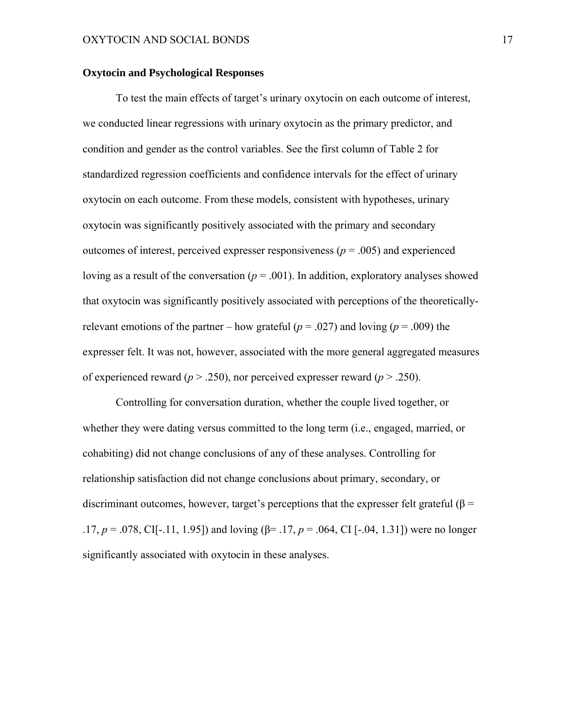### **Oxytocin and Psychological Responses**

 To test the main effects of target's urinary oxytocin on each outcome of interest, we conducted linear regressions with urinary oxytocin as the primary predictor, and condition and gender as the control variables. See the first column of Table 2 for standardized regression coefficients and confidence intervals for the effect of urinary oxytocin on each outcome. From these models, consistent with hypotheses, urinary oxytocin was significantly positively associated with the primary and secondary outcomes of interest, perceived expresser responsiveness ( $p = .005$ ) and experienced loving as a result of the conversation  $(p = .001)$ . In addition, exploratory analyses showed that oxytocin was significantly positively associated with perceptions of the theoreticallyrelevant emotions of the partner – how grateful ( $p = .027$ ) and loving ( $p = .009$ ) the expresser felt. It was not, however, associated with the more general aggregated measures of experienced reward ( $p > 0.250$ ), nor perceived expresser reward ( $p > 0.250$ ).

Controlling for conversation duration, whether the couple lived together, or whether they were dating versus committed to the long term (i.e., engaged, married, or cohabiting) did not change conclusions of any of these analyses. Controlling for relationship satisfaction did not change conclusions about primary, secondary, or discriminant outcomes, however, target's perceptions that the expresser felt grateful ( $\beta$  = .17, *p* = .078, CI[-.11, 1.95]) and loving (β= .17, *p* = .064, CI [-.04, 1.31]) were no longer significantly associated with oxytocin in these analyses.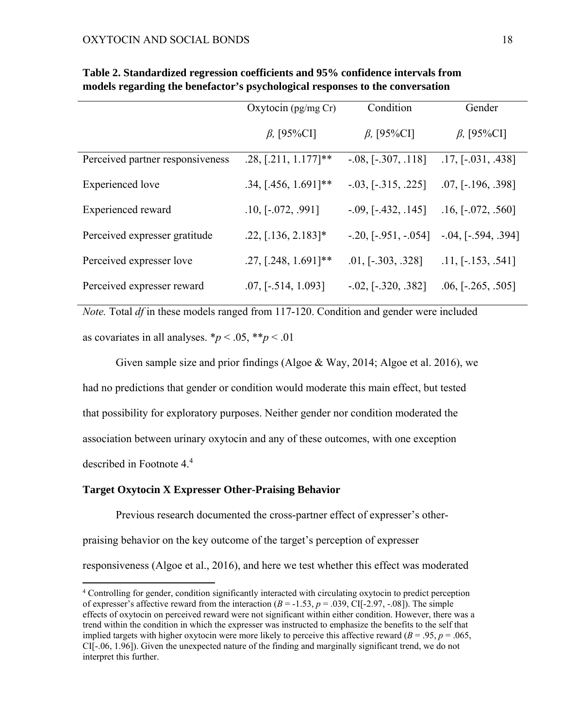|                                  | Oxytocin $\frac{\text{pg}}{\text{mg}}$ Cr) | Condition                   | Gender                      |
|----------------------------------|--------------------------------------------|-----------------------------|-----------------------------|
|                                  | $\beta$ , [95%CI]                          | $\beta$ , [95%CI]           | $\beta$ , [95%CI]           |
| Perceived partner responsiveness | $.28, [.211, 1.177]$ **                    | $-0.08$ , $[-0.307, 0.118]$ | $.17, [-031, .438]$         |
| Experienced love                 | $.34, [.456, 1.691]$ **                    | $-0.03$ , $[-0.315, 0.225]$ | $.07,$ [ $-.196, .398$ ]    |
| <b>Experienced</b> reward        | $.10, [-072, .991]$                        | $-0.09$ , $[-432, 145]$     | $.16, [-072, .560]$         |
| Perceived expresser gratitude    | $.22, [.136, 2.183]$ *                     | $-.20, [-951, -.054]$       | $-0.04$ , $[-0.594, 0.394]$ |
| Perceived expresser love         | $.27, [.248, 1.691]$ **                    | $.01,$ [ $-.303, .328$ ]    | $.11, [-153, .541]$         |
| Perceived expresser reward       | $.07,$ [ $-.514, 1.093$ ]                  | $-0.02$ , $[-0.320, 0.382]$ | $.06, [-265, .505]$         |

**Table 2. Standardized regression coefficients and 95% confidence intervals from models regarding the benefactor's psychological responses to the conversation** 

*Note.* Total *df* in these models ranged from 117-120. Condition and gender were included as covariates in all analyses.  $\frac{p}{q}$  < .05,  $\frac{p}{q}$  < .01

Given sample size and prior findings (Algoe & Way, 2014; Algoe et al. 2016), we had no predictions that gender or condition would moderate this main effect, but tested that possibility for exploratory purposes. Neither gender nor condition moderated the association between urinary oxytocin and any of these outcomes, with one exception described in Footnote 4<sup>4</sup>

### **Target Oxytocin X Expresser Other-Praising Behavior**

 Previous research documented the cross-partner effect of expresser's otherpraising behavior on the key outcome of the target's perception of expresser responsiveness (Algoe et al., 2016), and here we test whether this effect was moderated

<sup>4</sup> Controlling for gender, condition significantly interacted with circulating oxytocin to predict perception of expresser's affective reward from the interaction  $(B = -1.53, p = .039, \text{ CI}[-2.97, -.08])$ . The simple effects of oxytocin on perceived reward were not significant within either condition. However, there was a trend within the condition in which the expresser was instructed to emphasize the benefits to the self that implied targets with higher oxytocin were more likely to perceive this affective reward  $(B = .95, p = .065,$ CI[-.06, 1.96]). Given the unexpected nature of the finding and marginally significant trend, we do not interpret this further.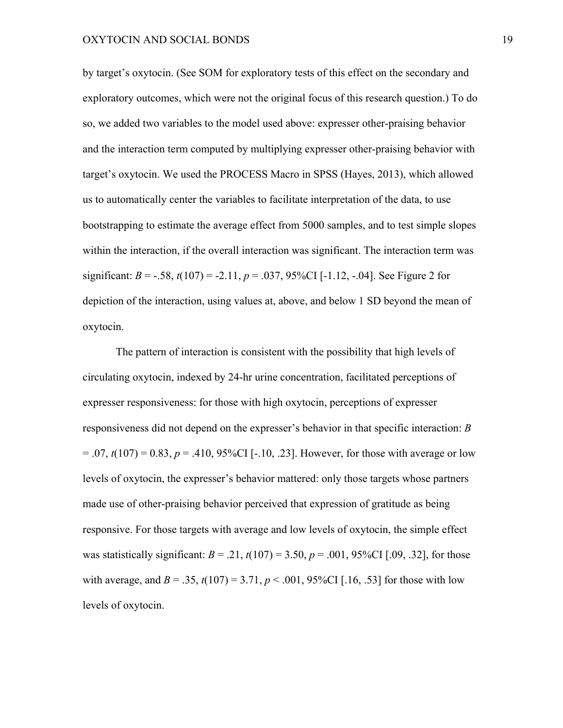by target's oxytocin. (See SOM for exploratory tests of this effect on the secondary and exploratory outcomes, which were not the original focus of this research question.) To do so, we added two variables to the model used above: expresser other-praising behavior and the interaction term computed by multiplying expresser other-praising behavior with target's oxytocin. We used the PROCESS Macro in SPSS (Hayes, 2013), which allowed us to automatically center the variables to facilitate interpretation of the data, to use bootstrapping to estimate the average effect from 5000 samples, and to test simple slopes within the interaction, if the overall interaction was significant. The interaction term was significant: *B* = -.58,  $t(107)$  = -2.11,  $p = .037$ , 95%CI [-1.12, -.04]. See Figure 2 for depiction of the interaction, using values at, above, and below 1 SD beyond the mean of oxytocin.

 The pattern of interaction is consistent with the possibility that high levels of circulating oxytocin, indexed by 24-hr urine concentration, facilitated perceptions of expresser responsiveness: for those with high oxytocin, perceptions of expresser responsiveness did not depend on the expresser's behavior in that specific interaction: *B*  $= .07, t(107) = 0.83, p = .410, 95\% \text{CI}$  [-.10, .23]. However, for those with average or low levels of oxytocin, the expresser's behavior mattered: only those targets whose partners made use of other-praising behavior perceived that expression of gratitude as being responsive. For those targets with average and low levels of oxytocin, the simple effect was statistically significant:  $B = .21$ ,  $t(107) = 3.50$ ,  $p = .001$ , 95%CI [.09, .32], for those with average, and  $B = 0.35$ ,  $t(107) = 3.71$ ,  $p < 0.001$ , 95%CI [.16, .53] for those with low levels of oxytocin.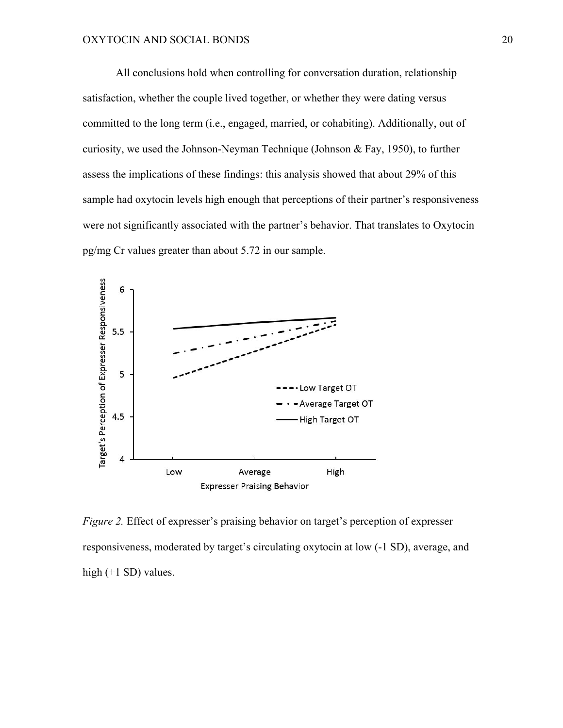All conclusions hold when controlling for conversation duration, relationship satisfaction, whether the couple lived together, or whether they were dating versus committed to the long term (i.e., engaged, married, or cohabiting). Additionally, out of curiosity, we used the Johnson-Neyman Technique (Johnson & Fay, 1950), to further assess the implications of these findings: this analysis showed that about 29% of this sample had oxytocin levels high enough that perceptions of their partner's responsiveness were not significantly associated with the partner's behavior. That translates to Oxytocin pg/mg Cr values greater than about 5.72 in our sample.



*Figure 2.* Effect of expresser's praising behavior on target's perception of expresser responsiveness, moderated by target's circulating oxytocin at low (-1 SD), average, and high (+1 SD) values.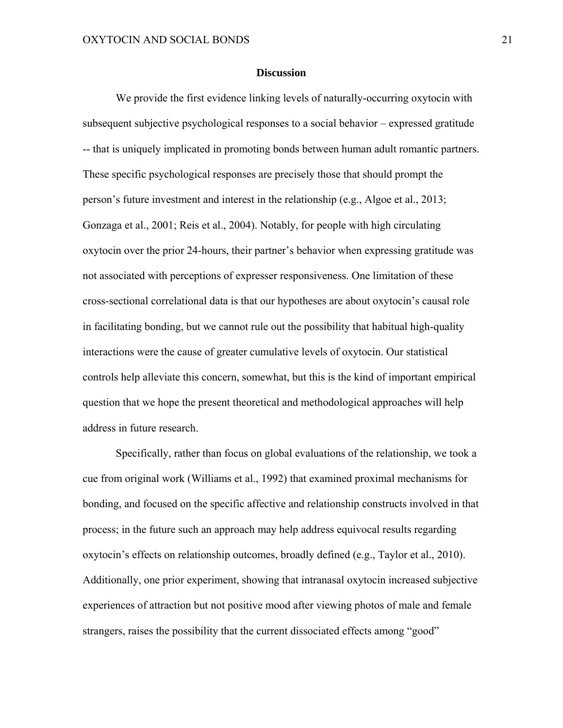#### **Discussion**

 We provide the first evidence linking levels of naturally-occurring oxytocin with subsequent subjective psychological responses to a social behavior – expressed gratitude -- that is uniquely implicated in promoting bonds between human adult romantic partners. These specific psychological responses are precisely those that should prompt the person's future investment and interest in the relationship (e.g., Algoe et al., 2013; Gonzaga et al., 2001; Reis et al., 2004). Notably, for people with high circulating oxytocin over the prior 24-hours, their partner's behavior when expressing gratitude was not associated with perceptions of expresser responsiveness. One limitation of these cross-sectional correlational data is that our hypotheses are about oxytocin's causal role in facilitating bonding, but we cannot rule out the possibility that habitual high-quality interactions were the cause of greater cumulative levels of oxytocin. Our statistical controls help alleviate this concern, somewhat, but this is the kind of important empirical question that we hope the present theoretical and methodological approaches will help address in future research.

Specifically, rather than focus on global evaluations of the relationship, we took a cue from original work (Williams et al., 1992) that examined proximal mechanisms for bonding, and focused on the specific affective and relationship constructs involved in that process; in the future such an approach may help address equivocal results regarding oxytocin's effects on relationship outcomes, broadly defined (e.g., Taylor et al., 2010). Additionally, one prior experiment, showing that intranasal oxytocin increased subjective experiences of attraction but not positive mood after viewing photos of male and female strangers, raises the possibility that the current dissociated effects among "good"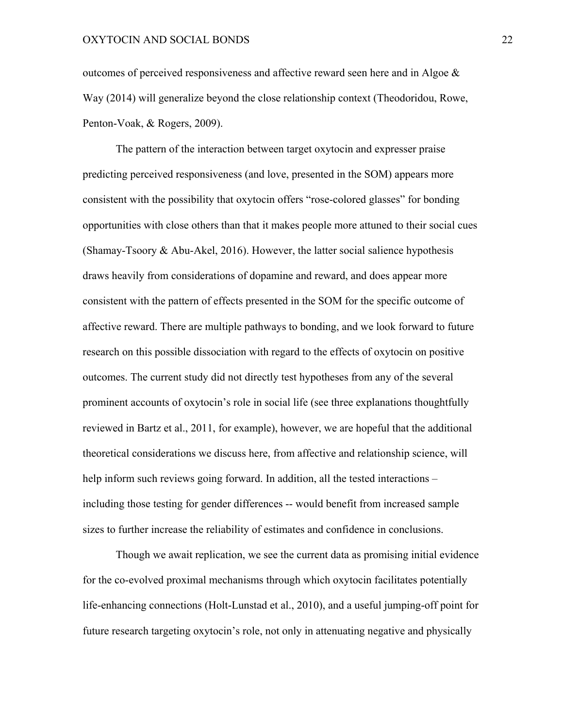outcomes of perceived responsiveness and affective reward seen here and in Algoe  $\&$ Way (2014) will generalize beyond the close relationship context (Theodoridou, Rowe, Penton-Voak, & Rogers, 2009).

The pattern of the interaction between target oxytocin and expresser praise predicting perceived responsiveness (and love, presented in the SOM) appears more consistent with the possibility that oxytocin offers "rose-colored glasses" for bonding opportunities with close others than that it makes people more attuned to their social cues (Shamay-Tsoory & Abu-Akel, 2016). However, the latter social salience hypothesis draws heavily from considerations of dopamine and reward, and does appear more consistent with the pattern of effects presented in the SOM for the specific outcome of affective reward. There are multiple pathways to bonding, and we look forward to future research on this possible dissociation with regard to the effects of oxytocin on positive outcomes. The current study did not directly test hypotheses from any of the several prominent accounts of oxytocin's role in social life (see three explanations thoughtfully reviewed in Bartz et al., 2011, for example), however, we are hopeful that the additional theoretical considerations we discuss here, from affective and relationship science, will help inform such reviews going forward. In addition, all the tested interactions – including those testing for gender differences -- would benefit from increased sample sizes to further increase the reliability of estimates and confidence in conclusions.

Though we await replication, we see the current data as promising initial evidence for the co-evolved proximal mechanisms through which oxytocin facilitates potentially life-enhancing connections (Holt-Lunstad et al., 2010), and a useful jumping-off point for future research targeting oxytocin's role, not only in attenuating negative and physically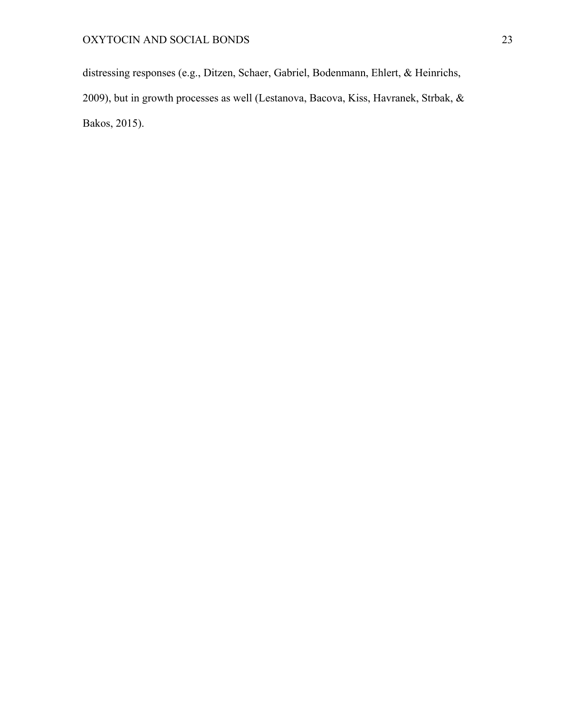distressing responses (e.g., Ditzen, Schaer, Gabriel, Bodenmann, Ehlert, & Heinrichs, 2009), but in growth processes as well (Lestanova, Bacova, Kiss, Havranek, Strbak, & Bakos, 2015).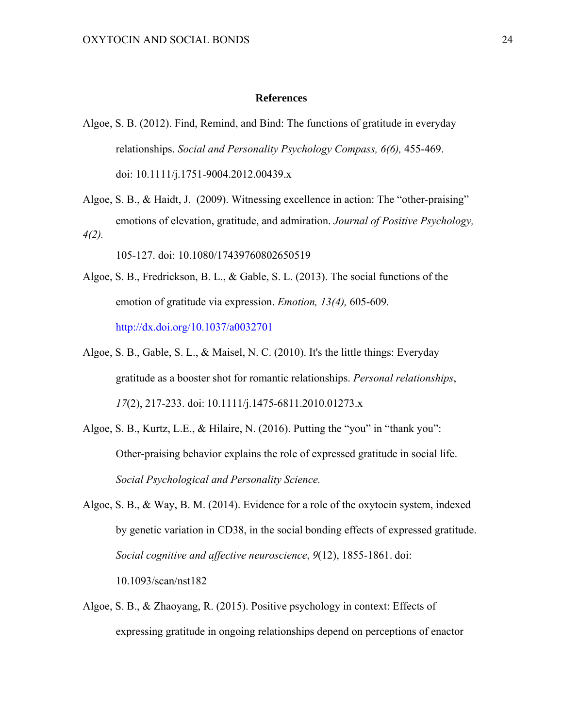#### **References**

Algoe, S. B. (2012). Find, Remind, and Bind: The functions of gratitude in everyday relationships. *Social and Personality Psychology Compass, 6(6),* 455-469. doi: 10.1111/j.1751-9004.2012.00439.x

Algoe, S. B., & Haidt, J. (2009). Witnessing excellence in action: The "other-praising" emotions of elevation, gratitude, and admiration. *Journal of Positive Psychology, 4(2).* 

105-127. doi: 10.1080/17439760802650519

Algoe, S. B., Fredrickson, B. L., & Gable, S. L. (2013). The social functions of the emotion of gratitude via expression. *Emotion, 13(4),* 605-609*.*  http://dx.doi.org/10.1037/a0032701

- Algoe, S. B., Gable, S. L., & Maisel, N. C. (2010). It's the little things: Everyday gratitude as a booster shot for romantic relationships. *Personal relationships*, *17*(2), 217-233. doi: 10.1111/j.1475-6811.2010.01273.x
- Algoe, S. B., Kurtz, L.E., & Hilaire, N. (2016). Putting the "you" in "thank you": Other-praising behavior explains the role of expressed gratitude in social life. *Social Psychological and Personality Science.*

Algoe, S. B., & Way, B. M. (2014). Evidence for a role of the oxytocin system, indexed by genetic variation in CD38, in the social bonding effects of expressed gratitude. *Social cognitive and affective neuroscience*, *9*(12), 1855-1861. doi: 10.1093/scan/nst182

Algoe, S. B., & Zhaoyang, R. (2015). Positive psychology in context: Effects of expressing gratitude in ongoing relationships depend on perceptions of enactor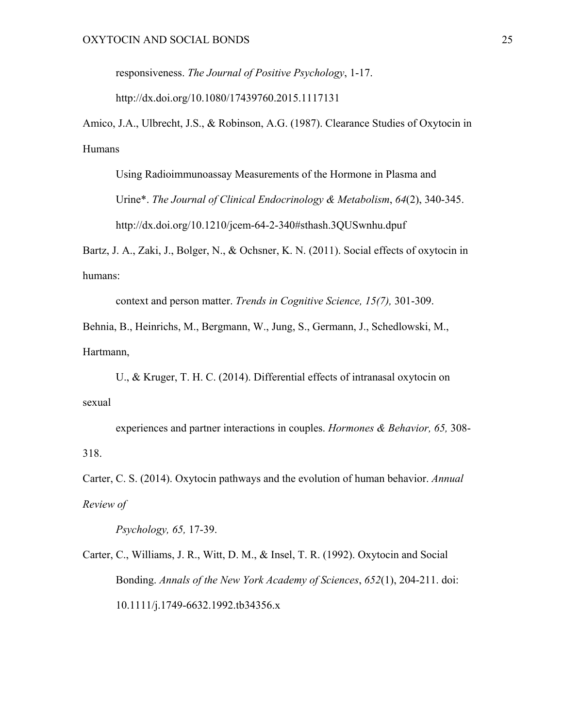responsiveness. *The Journal of Positive Psychology*, 1-17.

http://dx.doi.org/10.1080/17439760.2015.1117131

Amico, J.A., Ulbrecht, J.S., & Robinson, A.G. (1987). Clearance Studies of Oxytocin in Humans

Using Radioimmunoassay Measurements of the Hormone in Plasma and

Urine\*. *The Journal of Clinical Endocrinology & Metabolism*, *64*(2), 340-345.

http://dx.doi.org/10.1210/jcem-64-2-340#sthash.3QUSwnhu.dpuf

Bartz, J. A., Zaki, J., Bolger, N., & Ochsner, K. N. (2011). Social effects of oxytocin in humans:

context and person matter. *Trends in Cognitive Science, 15(7),* 301-309.

Behnia, B., Heinrichs, M., Bergmann, W., Jung, S., Germann, J., Schedlowski, M., Hartmann,

U., & Kruger, T. H. C. (2014). Differential effects of intranasal oxytocin on sexual

experiences and partner interactions in couples. *Hormones & Behavior, 65,* 308- 318.

Carter, C. S. (2014). Oxytocin pathways and the evolution of human behavior. *Annual Review of* 

*Psychology, 65,* 17-39.

Carter, C., Williams, J. R., Witt, D. M., & Insel, T. R. (1992). Oxytocin and Social Bonding. *Annals of the New York Academy of Sciences*, *652*(1), 204-211. doi: 10.1111/j.1749-6632.1992.tb34356.x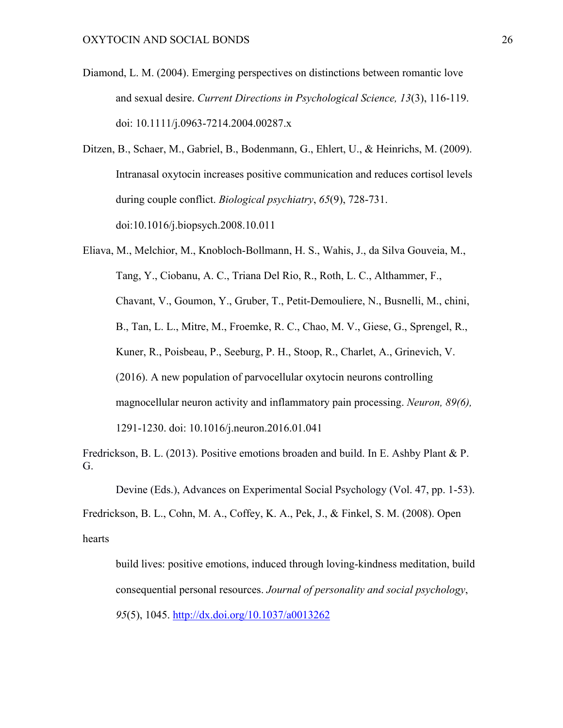- Diamond, L. M. (2004). Emerging perspectives on distinctions between romantic love and sexual desire. *Current Directions in Psychological Science, 13*(3), 116-119. doi: 10.1111/j.0963-7214.2004.00287.x
- Ditzen, B., Schaer, M., Gabriel, B., Bodenmann, G., Ehlert, U., & Heinrichs, M. (2009). Intranasal oxytocin increases positive communication and reduces cortisol levels during couple conflict. *Biological psychiatry*, *65*(9), 728-731. doi:10.1016/j.biopsych.2008.10.011

Eliava, M., Melchior, M., Knobloch-Bollmann, H. S., Wahis, J., da Silva Gouveia, M., Tang, Y., Ciobanu, A. C., Triana Del Rio, R., Roth, L. C., Althammer, F., Chavant, V., Goumon, Y., Gruber, T., Petit-Demouliere, N., Busnelli, M., chini, B., Tan, L. L., Mitre, M., Froemke, R. C., Chao, M. V., Giese, G., Sprengel, R., Kuner, R., Poisbeau, P., Seeburg, P. H., Stoop, R., Charlet, A., Grinevich, V. (2016). A new population of parvocellular oxytocin neurons controlling magnocellular neuron activity and inflammatory pain processing. *Neuron, 89(6),* 1291-1230. doi: 10.1016/j.neuron.2016.01.041

Fredrickson, B. L. (2013). Positive emotions broaden and build. In E. Ashby Plant & P. G.

Devine (Eds.), Advances on Experimental Social Psychology (Vol. 47, pp. 1-53). Fredrickson, B. L., Cohn, M. A., Coffey, K. A., Pek, J., & Finkel, S. M. (2008). Open hearts

build lives: positive emotions, induced through loving-kindness meditation, build consequential personal resources. *Journal of personality and social psychology*, *95*(5), 1045. http://dx.doi.org/10.1037/a0013262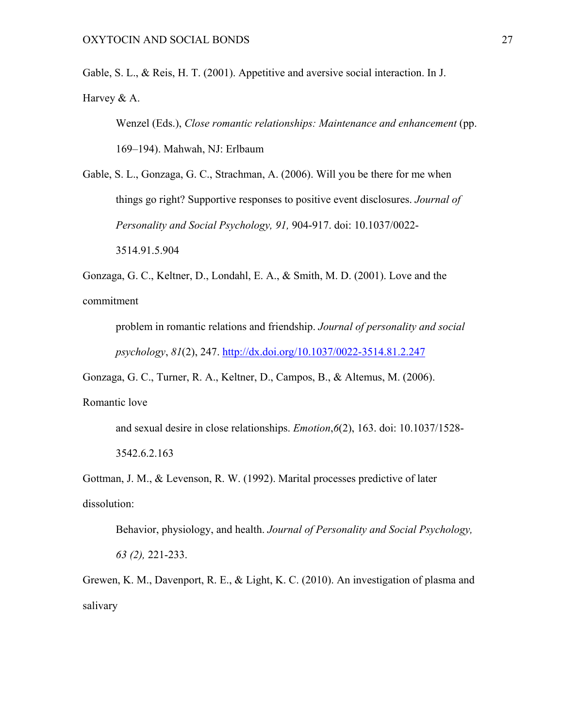Gable, S. L., & Reis, H. T. (2001). Appetitive and aversive social interaction. In J. Harvey & A.

Wenzel (Eds.), *Close romantic relationships: Maintenance and enhancement* (pp. 169–194). Mahwah, NJ: Erlbaum

Gable, S. L., Gonzaga, G. C., Strachman, A. (2006). Will you be there for me when things go right? Supportive responses to positive event disclosures. *Journal of Personality and Social Psychology, 91,* 904-917. doi: 10.1037/0022- 3514.91.5.904

Gonzaga, G. C., Keltner, D., Londahl, E. A., & Smith, M. D. (2001). Love and the commitment

```
problem in romantic relations and friendship. Journal of personality and social 
psychology, 81(2), 247. http://dx.doi.org/10.1037/0022-3514.81.2.247
```
Gonzaga, G. C., Turner, R. A., Keltner, D., Campos, B., & Altemus, M. (2006).

Romantic love

and sexual desire in close relationships. *Emotion*,*6*(2), 163. doi: 10.1037/1528-

3542.6.2.163

Gottman, J. M., & Levenson, R. W. (1992). Marital processes predictive of later dissolution:

Behavior, physiology, and health. *Journal of Personality and Social Psychology, 63 (2),* 221-233.

Grewen, K. M., Davenport, R. E., & Light, K. C. (2010). An investigation of plasma and salivary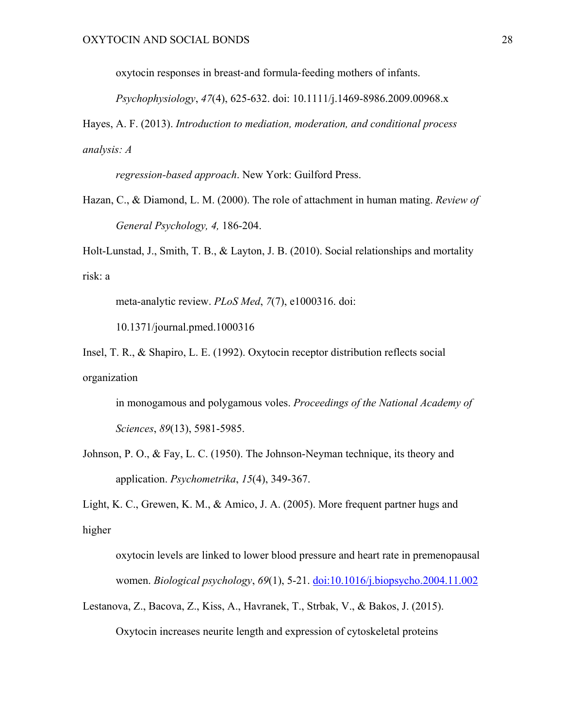oxytocin responses in breast‐and formula‐feeding mothers of infants.

*Psychophysiology*, *47*(4), 625-632. doi: 10.1111/j.1469-8986.2009.00968.x

Hayes, A. F. (2013). *Introduction to mediation, moderation, and conditional process analysis: A* 

*regression-based approach*. New York: Guilford Press.

Hazan, C., & Diamond, L. M. (2000). The role of attachment in human mating. *Review of General Psychology, 4,* 186-204.

Holt-Lunstad, J., Smith, T. B., & Layton, J. B. (2010). Social relationships and mortality risk: a

meta-analytic review. *PLoS Med*, *7*(7), e1000316. doi:

10.1371/journal.pmed.1000316

Insel, T. R., & Shapiro, L. E. (1992). Oxytocin receptor distribution reflects social organization

in monogamous and polygamous voles. *Proceedings of the National Academy of Sciences*, *89*(13), 5981-5985.

Johnson, P. O., & Fay, L. C. (1950). The Johnson-Neyman technique, its theory and application. *Psychometrika*, *15*(4), 349-367.

Light, K. C., Grewen, K. M., & Amico, J. A. (2005). More frequent partner hugs and higher

oxytocin levels are linked to lower blood pressure and heart rate in premenopausal women. *Biological psychology*, *69*(1), 5-21. doi:10.1016/j.biopsycho.2004.11.002

Lestanova, Z., Bacova, Z., Kiss, A., Havranek, T., Strbak, V., & Bakos, J. (2015).

Oxytocin increases neurite length and expression of cytoskeletal proteins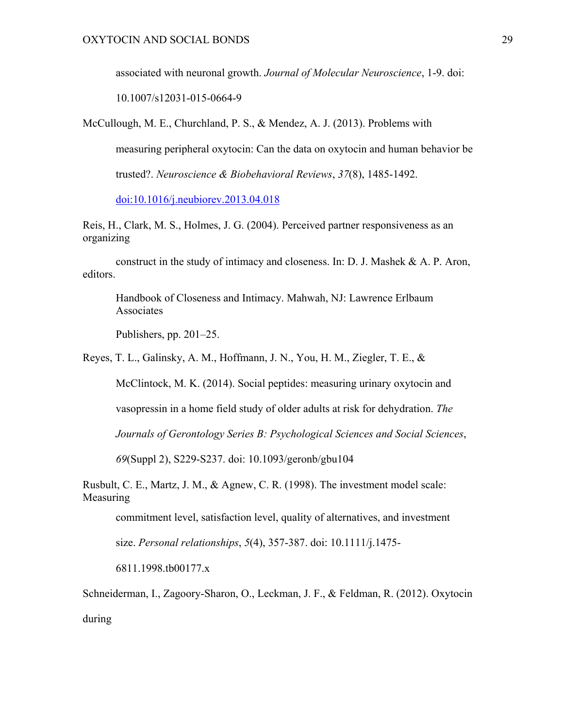associated with neuronal growth. *Journal of Molecular Neuroscience*, 1-9. doi:

10.1007/s12031-015-0664-9

McCullough, M. E., Churchland, P. S., & Mendez, A. J. (2013). Problems with

measuring peripheral oxytocin: Can the data on oxytocin and human behavior be

trusted?. *Neuroscience & Biobehavioral Reviews*, *37*(8), 1485-1492.

doi:10.1016/j.neubiorev.2013.04.018

Reis, H., Clark, M. S., Holmes, J. G. (2004). Perceived partner responsiveness as an organizing

construct in the study of intimacy and closeness. In: D. J. Mashek & A. P. Aron, editors.

Handbook of Closeness and Intimacy. Mahwah, NJ: Lawrence Erlbaum Associates

Publishers, pp. 201–25.

Reyes, T. L., Galinsky, A. M., Hoffmann, J. N., You, H. M., Ziegler, T. E., &

McClintock, M. K. (2014). Social peptides: measuring urinary oxytocin and

vasopressin in a home field study of older adults at risk for dehydration. *The* 

*Journals of Gerontology Series B: Psychological Sciences and Social Sciences*,

*69*(Suppl 2), S229-S237. doi: 10.1093/geronb/gbu104

Rusbult, C. E., Martz, J. M., & Agnew, C. R. (1998). The investment model scale: Measuring

commitment level, satisfaction level, quality of alternatives, and investment

size. *Personal relationships*, *5*(4), 357-387. doi: 10.1111/j.1475-

6811.1998.tb00177.x

Schneiderman, I., Zagoory-Sharon, O., Leckman, J. F., & Feldman, R. (2012). Oxytocin

during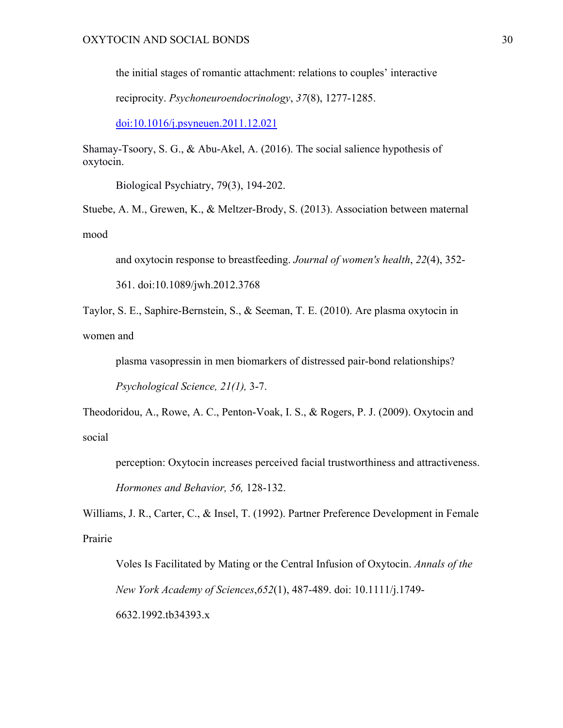the initial stages of romantic attachment: relations to couples' interactive

reciprocity. *Psychoneuroendocrinology*, *37*(8), 1277-1285.

doi:10.1016/j.psyneuen.2011.12.021

Shamay-Tsoory, S. G., & Abu-Akel, A. (2016). The social salience hypothesis of oxytocin.

Biological Psychiatry, 79(3), 194-202.

Stuebe, A. M., Grewen, K., & Meltzer-Brody, S. (2013). Association between maternal mood

and oxytocin response to breastfeeding. *Journal of women's health*, *22*(4), 352-

361. doi:10.1089/jwh.2012.3768

Taylor, S. E., Saphire-Bernstein, S., & Seeman, T. E. (2010). Are plasma oxytocin in women and

plasma vasopressin in men biomarkers of distressed pair-bond relationships?

*Psychological Science, 21(1),* 3-7.

Theodoridou, A., Rowe, A. C., Penton-Voak, I. S., & Rogers, P. J. (2009). Oxytocin and social

perception: Oxytocin increases perceived facial trustworthiness and attractiveness. *Hormones and Behavior, 56,* 128-132.

Williams, J. R., Carter, C., & Insel, T. (1992). Partner Preference Development in Female Prairie

Voles Is Facilitated by Mating or the Central Infusion of Oxytocin. *Annals of the New York Academy of Sciences*,*652*(1), 487-489. doi: 10.1111/j.1749- 6632.1992.tb34393.x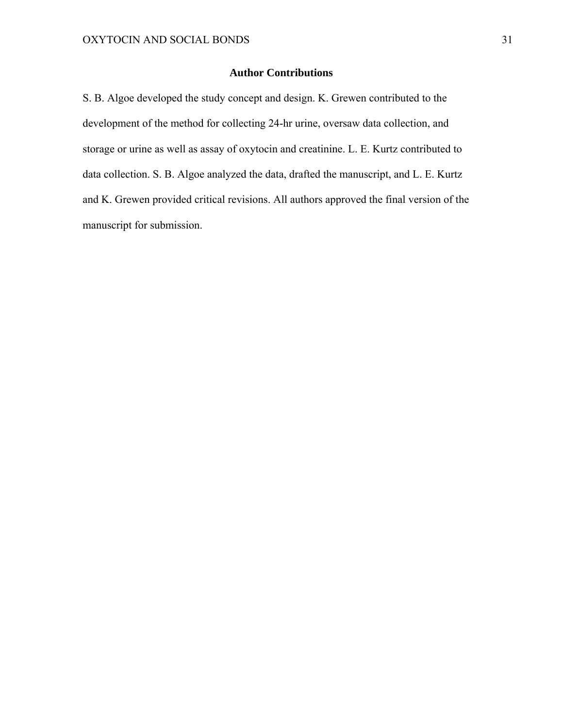## **Author Contributions**

S. B. Algoe developed the study concept and design. K. Grewen contributed to the development of the method for collecting 24-hr urine, oversaw data collection, and storage or urine as well as assay of oxytocin and creatinine. L. E. Kurtz contributed to data collection. S. B. Algoe analyzed the data, drafted the manuscript, and L. E. Kurtz and K. Grewen provided critical revisions. All authors approved the final version of the manuscript for submission.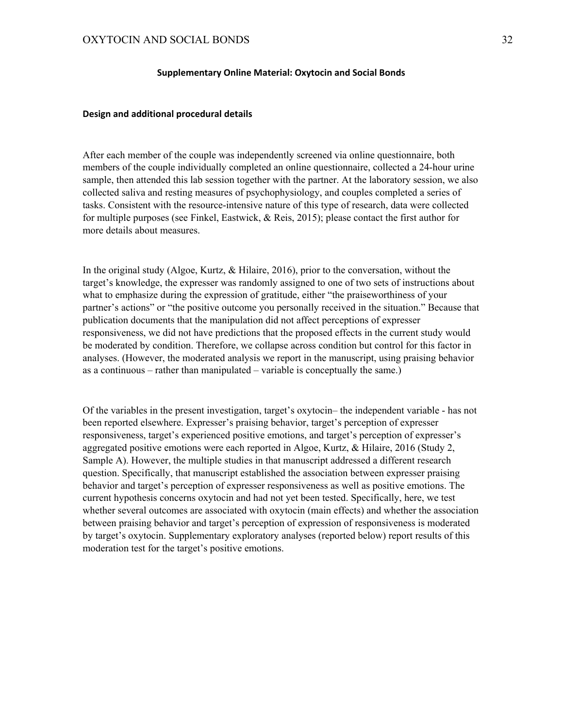#### **Supplementary Online Material: Oxytocin and Social Bonds**

#### **Design and additional procedural details**

After each member of the couple was independently screened via online questionnaire, both members of the couple individually completed an online questionnaire, collected a 24-hour urine sample, then attended this lab session together with the partner. At the laboratory session, we also collected saliva and resting measures of psychophysiology, and couples completed a series of tasks. Consistent with the resource-intensive nature of this type of research, data were collected for multiple purposes (see Finkel, Eastwick, & Reis, 2015); please contact the first author for more details about measures.

In the original study (Algoe, Kurtz, & Hilaire, 2016), prior to the conversation, without the target's knowledge, the expresser was randomly assigned to one of two sets of instructions about what to emphasize during the expression of gratitude, either "the praiseworthiness of your partner's actions" or "the positive outcome you personally received in the situation." Because that publication documents that the manipulation did not affect perceptions of expresser responsiveness, we did not have predictions that the proposed effects in the current study would be moderated by condition. Therefore, we collapse across condition but control for this factor in analyses. (However, the moderated analysis we report in the manuscript, using praising behavior as a continuous – rather than manipulated – variable is conceptually the same.)

Of the variables in the present investigation, target's oxytocin– the independent variable - has not been reported elsewhere. Expresser's praising behavior, target's perception of expresser responsiveness, target's experienced positive emotions, and target's perception of expresser's aggregated positive emotions were each reported in Algoe, Kurtz, & Hilaire, 2016 (Study 2, Sample A). However, the multiple studies in that manuscript addressed a different research question. Specifically, that manuscript established the association between expresser praising behavior and target's perception of expresser responsiveness as well as positive emotions. The current hypothesis concerns oxytocin and had not yet been tested. Specifically, here, we test whether several outcomes are associated with oxytocin (main effects) and whether the association between praising behavior and target's perception of expression of responsiveness is moderated by target's oxytocin. Supplementary exploratory analyses (reported below) report results of this moderation test for the target's positive emotions.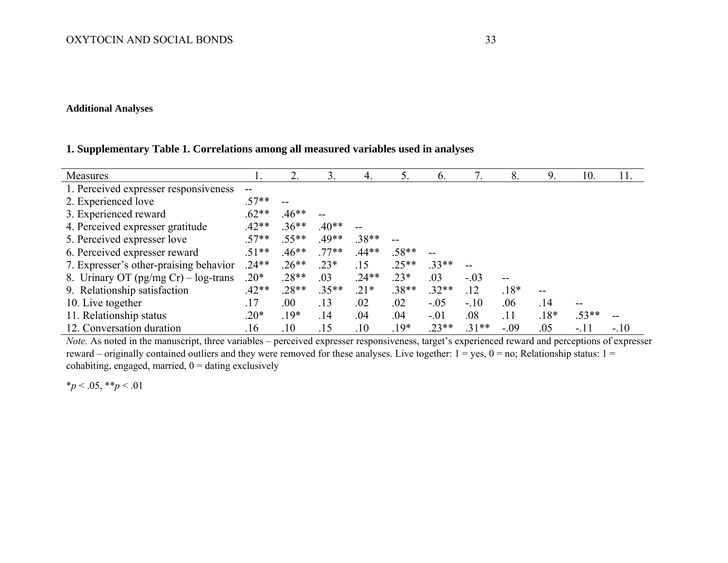### **Additional Analyses**

## **1. Supplementary Table 1. Correlations among all measured variables used in analyses**

| Measures                                |         |         | 3.      | 4.      | 5.      | 6.      |         | 8.     | 9.     | 10.     | 11.    |
|-----------------------------------------|---------|---------|---------|---------|---------|---------|---------|--------|--------|---------|--------|
| 1. Perceived expresser responsiveness   |         |         |         |         |         |         |         |        |        |         |        |
| 2. Experienced love                     | $.57**$ | $ -$    |         |         |         |         |         |        |        |         |        |
| 3. Experienced reward                   | $.62**$ | $.46**$ | $-$     |         |         |         |         |        |        |         |        |
| 4. Perceived expresser gratitude        | $.42**$ | $.36**$ | $.40**$ |         |         |         |         |        |        |         |        |
| 5. Perceived expresser love             | $.57**$ | $.55**$ | $49**$  | $.38**$ |         |         |         |        |        |         |        |
| 6. Perceived expresser reward           | $.51**$ | $.46**$ | $77**$  | $.44**$ | $.58**$ | $- -$   |         |        |        |         |        |
| 7. Expresser's other-praising behavior  | $.24**$ | $.26**$ | $.23*$  | .15     | $.25**$ | $.33**$ |         |        |        |         |        |
| 8. Urinary OT (pg/mg $Cr$ ) – log-trans | $20*$   | $.28**$ | .03     | $.24**$ | $.23*$  | .03     | $-.03$  | $- -$  |        |         |        |
| 9. Relationship satisfaction            | $.42**$ | $.28**$ | $.35**$ | $.21*$  | $.38**$ | $.32**$ | .12     | $.18*$ | $- -$  |         |        |
| 10. Live together                       | .17     | .00     | .13     | .02     | .02     | $-.05$  | $-.10$  | .06    | .14    |         |        |
| 11. Relationship status                 | $20*$   | $.19*$  | .14     | .04     | .04     | $-.01$  | .08     | .11    | $.18*$ | $.53**$ |        |
| 12. Conversation duration               | .16     | .10     | .15     | .10     | $.19*$  | $.23**$ | $.31**$ | $-.09$ | .05    | -.11    | $-.10$ |

*Note.* As noted in the manuscript, three variables – perceived expresser responsiveness, target's experienced reward and perceptions of expresser reward – originally contained outliers and they were removed for these analyses. Live together:  $1 = yes$ ,  $0 = no$ ; Relationship status:  $1 =$ cohabiting, engaged, married,  $0 =$  dating exclusively

\**p* < .05, \*\**p* < .01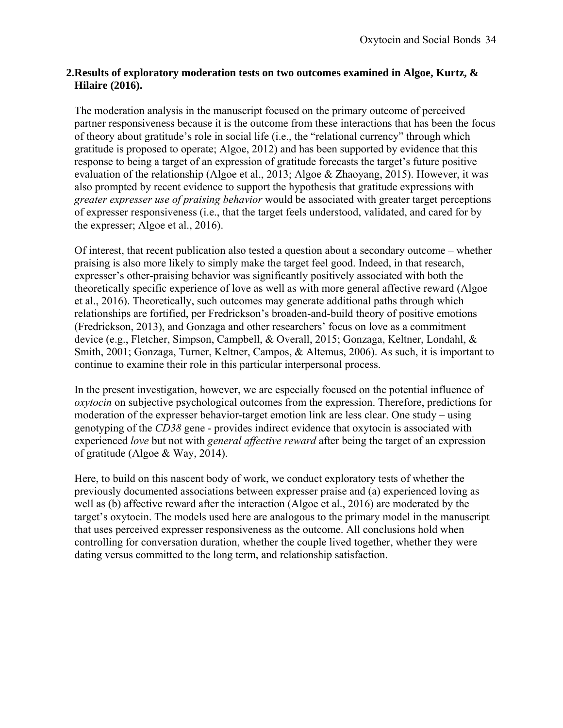# **2.Results of exploratory moderation tests on two outcomes examined in Algoe, Kurtz, & Hilaire (2016).**

The moderation analysis in the manuscript focused on the primary outcome of perceived partner responsiveness because it is the outcome from these interactions that has been the focus of theory about gratitude's role in social life (i.e., the "relational currency" through which gratitude is proposed to operate; Algoe, 2012) and has been supported by evidence that this response to being a target of an expression of gratitude forecasts the target's future positive evaluation of the relationship (Algoe et al., 2013; Algoe & Zhaoyang, 2015). However, it was also prompted by recent evidence to support the hypothesis that gratitude expressions with *greater expresser use of praising behavior* would be associated with greater target perceptions of expresser responsiveness (i.e., that the target feels understood, validated, and cared for by the expresser; Algoe et al., 2016).

Of interest, that recent publication also tested a question about a secondary outcome – whether praising is also more likely to simply make the target feel good. Indeed, in that research, expresser's other-praising behavior was significantly positively associated with both the theoretically specific experience of love as well as with more general affective reward (Algoe et al., 2016). Theoretically, such outcomes may generate additional paths through which relationships are fortified, per Fredrickson's broaden-and-build theory of positive emotions (Fredrickson, 2013), and Gonzaga and other researchers' focus on love as a commitment device (e.g., Fletcher, Simpson, Campbell, & Overall, 2015; Gonzaga, Keltner, Londahl, & Smith, 2001; Gonzaga, Turner, Keltner, Campos, & Altemus, 2006). As such, it is important to continue to examine their role in this particular interpersonal process.

In the present investigation, however, we are especially focused on the potential influence of *oxytocin* on subjective psychological outcomes from the expression. Therefore, predictions for moderation of the expresser behavior-target emotion link are less clear. One study – using genotyping of the *CD38* gene - provides indirect evidence that oxytocin is associated with experienced *love* but not with *general affective reward* after being the target of an expression of gratitude (Algoe & Way, 2014).

Here, to build on this nascent body of work, we conduct exploratory tests of whether the previously documented associations between expresser praise and (a) experienced loving as well as (b) affective reward after the interaction (Algoe et al., 2016) are moderated by the target's oxytocin. The models used here are analogous to the primary model in the manuscript that uses perceived expresser responsiveness as the outcome. All conclusions hold when controlling for conversation duration, whether the couple lived together, whether they were dating versus committed to the long term, and relationship satisfaction.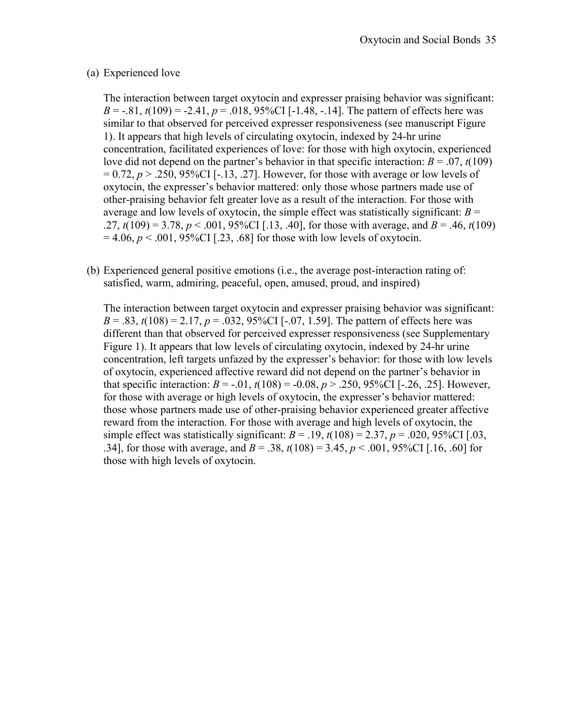### (a) Experienced love

The interaction between target oxytocin and expresser praising behavior was significant: *B* =  $-0.81$ , *t*(109) =  $-2.41$ , *p* = .018, 95%CI [ $-1.48$ ,  $-14$ ]. The pattern of effects here was similar to that observed for perceived expresser responsiveness (see manuscript Figure 1). It appears that high levels of circulating oxytocin, indexed by 24-hr urine concentration, facilitated experiences of love: for those with high oxytocin, experienced love did not depend on the partner's behavior in that specific interaction:  $B = .07$ ,  $t(109)$  $= 0.72$ ,  $p > 0.250$ , 95%CI [-.13, .27]. However, for those with average or low levels of oxytocin, the expresser's behavior mattered: only those whose partners made use of other-praising behavior felt greater love as a result of the interaction. For those with average and low levels of oxytocin, the simple effect was statistically significant:  $B =$ .27,  $t(109) = 3.78$ ,  $p < .001$ , 95%CI [.13, .40], for those with average, and  $B = .46$ ,  $t(109)$  $= 4.06, p < .001, 95\%$ CI [.23, .68] for those with low levels of oxytocin.

(b) Experienced general positive emotions (i.e., the average post-interaction rating of: satisfied, warm, admiring, peaceful, open, amused, proud, and inspired)

The interaction between target oxytocin and expresser praising behavior was significant:  $B = .83$ ,  $t(108) = 2.17$ ,  $p = .032$ , 95%CI [-.07, 1.59]. The pattern of effects here was different than that observed for perceived expresser responsiveness (see Supplementary Figure 1). It appears that low levels of circulating oxytocin, indexed by 24-hr urine concentration, left targets unfazed by the expresser's behavior: for those with low levels of oxytocin, experienced affective reward did not depend on the partner's behavior in that specific interaction:  $B = -0.01$ ,  $t(108) = -0.08$ ,  $p > 0.250$ ,  $95\%$ CI [-0.26, 0.25]. However, for those with average or high levels of oxytocin, the expresser's behavior mattered: those whose partners made use of other-praising behavior experienced greater affective reward from the interaction. For those with average and high levels of oxytocin, the simple effect was statistically significant:  $B = .19$ ,  $t(108) = 2.37$ ,  $p = .020$ , 95%CI [.03, .34], for those with average, and  $B = .38$ ,  $t(108) = 3.45$ ,  $p < .001$ , 95%CI [.16, .60] for those with high levels of oxytocin.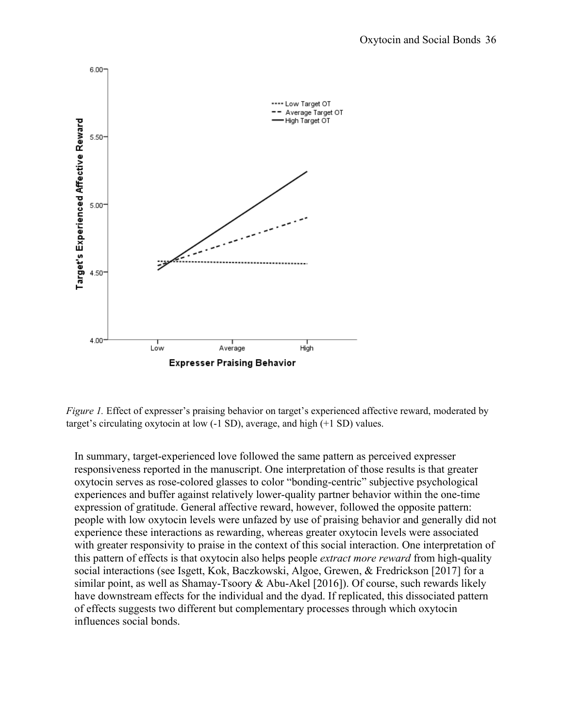

*Figure 1.* Effect of expresser's praising behavior on target's experienced affective reward, moderated by target's circulating oxytocin at low (-1 SD), average, and high (+1 SD) values.

In summary, target-experienced love followed the same pattern as perceived expresser responsiveness reported in the manuscript. One interpretation of those results is that greater oxytocin serves as rose-colored glasses to color "bonding-centric" subjective psychological experiences and buffer against relatively lower-quality partner behavior within the one-time expression of gratitude. General affective reward, however, followed the opposite pattern: people with low oxytocin levels were unfazed by use of praising behavior and generally did not experience these interactions as rewarding, whereas greater oxytocin levels were associated with greater responsivity to praise in the context of this social interaction. One interpretation of this pattern of effects is that oxytocin also helps people *extract more reward* from high-quality social interactions (see Isgett, Kok, Baczkowski, Algoe, Grewen, & Fredrickson [2017] for a similar point, as well as Shamay-Tsoory & Abu-Akel [2016]). Of course, such rewards likely have downstream effects for the individual and the dyad. If replicated, this dissociated pattern of effects suggests two different but complementary processes through which oxytocin influences social bonds.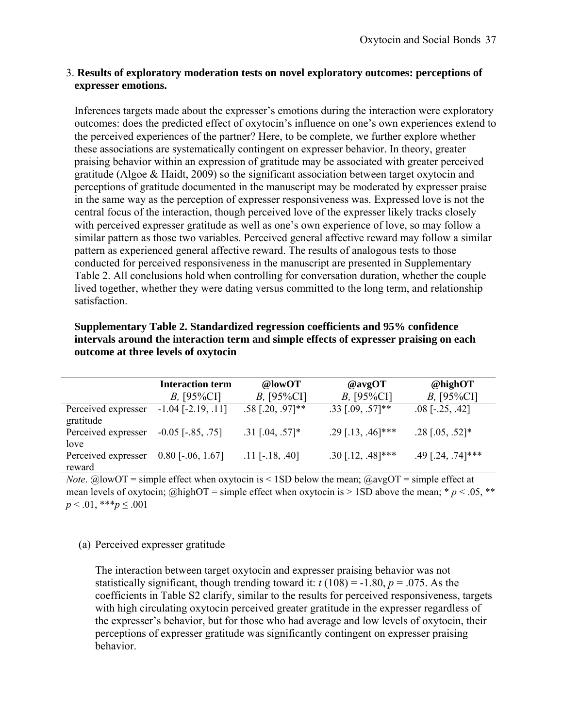## 3. **Results of exploratory moderation tests on novel exploratory outcomes: perceptions of expresser emotions.**

Inferences targets made about the expresser's emotions during the interaction were exploratory outcomes: does the predicted effect of oxytocin's influence on one's own experiences extend to the perceived experiences of the partner? Here, to be complete, we further explore whether these associations are systematically contingent on expresser behavior. In theory, greater praising behavior within an expression of gratitude may be associated with greater perceived gratitude (Algoe & Haidt, 2009) so the significant association between target oxytocin and perceptions of gratitude documented in the manuscript may be moderated by expresser praise in the same way as the perception of expresser responsiveness was. Expressed love is not the central focus of the interaction, though perceived love of the expresser likely tracks closely with perceived expresser gratitude as well as one's own experience of love, so may follow a similar pattern as those two variables. Perceived general affective reward may follow a similar pattern as experienced general affective reward. The results of analogous tests to those conducted for perceived responsiveness in the manuscript are presented in Supplementary Table 2. All conclusions hold when controlling for conversation duration, whether the couple lived together, whether they were dating versus committed to the long term, and relationship satisfaction.

|                                  | <b>Interaction term</b> | @lowOT                | @avgOT              | $@$ highOT            |
|----------------------------------|-------------------------|-----------------------|---------------------|-----------------------|
|                                  | $B, [95\%CI]$           | $B, [95\%CI]$         | $B, [95\%CI]$       | $B, [95\%CI]$         |
| Perceived expresser<br>gratitude | $-1.04$ $[-2.19, .11]$  | $.58$ [.20, .97]**    | $.33$ [.09, .57]**  | $.08$ [ $-.25, .42$ ] |
| Perceived expresser<br>love      | $-0.05$ [ $-.85, .75$ ] | $.31$ [.04, .57]*     | $.29$ [.13, .46]*** | $.28$ [.05, .52]*     |
| Perceived expresser<br>reward    | $0.80$ [ $-.06, 1.67$ ] | $.11$ [ $-.18, .40$ ] | $.30$ [.12, .48]*** | $.49$ [.24, .74]***   |

**Supplementary Table 2. Standardized regression coefficients and 95% confidence intervals around the interaction term and simple effects of expresser praising on each outcome at three levels of oxytocin** 

*Note*. @lowOT = simple effect when  $\overline{oxy}$  tocin is < 1SD below the mean; @avgOT = simple effect at mean levels of oxytocin; @highOT = simple effect when oxytocin is > 1SD above the mean;  $* p < .05$ , \*\*  $p < .01$ , \*\*\* $p \le .001$ 

# (a) Perceived expresser gratitude

 The interaction between target oxytocin and expresser praising behavior was not statistically significant, though trending toward it:  $t(108) = -1.80$ ,  $p = .075$ . As the coefficients in Table S2 clarify, similar to the results for perceived responsiveness, targets with high circulating oxytocin perceived greater gratitude in the expresser regardless of the expresser's behavior, but for those who had average and low levels of oxytocin, their perceptions of expresser gratitude was significantly contingent on expresser praising behavior.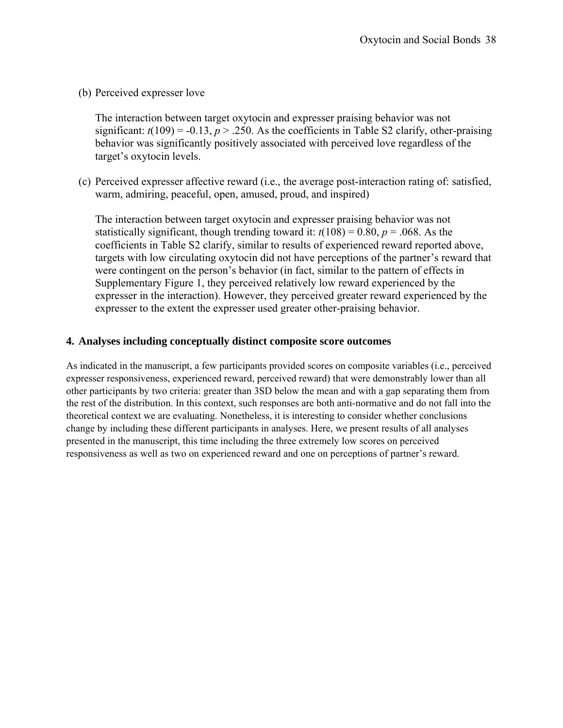(b) Perceived expresser love

 The interaction between target oxytocin and expresser praising behavior was not significant:  $t(109) = -0.13$ ,  $p > 0.250$ . As the coefficients in Table S2 clarify, other-praising behavior was significantly positively associated with perceived love regardless of the target's oxytocin levels.

(c) Perceived expresser affective reward (i.e., the average post-interaction rating of: satisfied, warm, admiring, peaceful, open, amused, proud, and inspired)

 The interaction between target oxytocin and expresser praising behavior was not statistically significant, though trending toward it:  $t(108) = 0.80$ ,  $p = .068$ . As the coefficients in Table S2 clarify, similar to results of experienced reward reported above, targets with low circulating oxytocin did not have perceptions of the partner's reward that were contingent on the person's behavior (in fact, similar to the pattern of effects in Supplementary Figure 1, they perceived relatively low reward experienced by the expresser in the interaction). However, they perceived greater reward experienced by the expresser to the extent the expresser used greater other-praising behavior.

## **4. Analyses including conceptually distinct composite score outcomes**

As indicated in the manuscript, a few participants provided scores on composite variables (i.e., perceived expresser responsiveness, experienced reward, perceived reward) that were demonstrably lower than all other participants by two criteria: greater than 3SD below the mean and with a gap separating them from the rest of the distribution. In this context, such responses are both anti-normative and do not fall into the theoretical context we are evaluating. Nonetheless, it is interesting to consider whether conclusions change by including these different participants in analyses. Here, we present results of all analyses presented in the manuscript, this time including the three extremely low scores on perceived responsiveness as well as two on experienced reward and one on perceptions of partner's reward.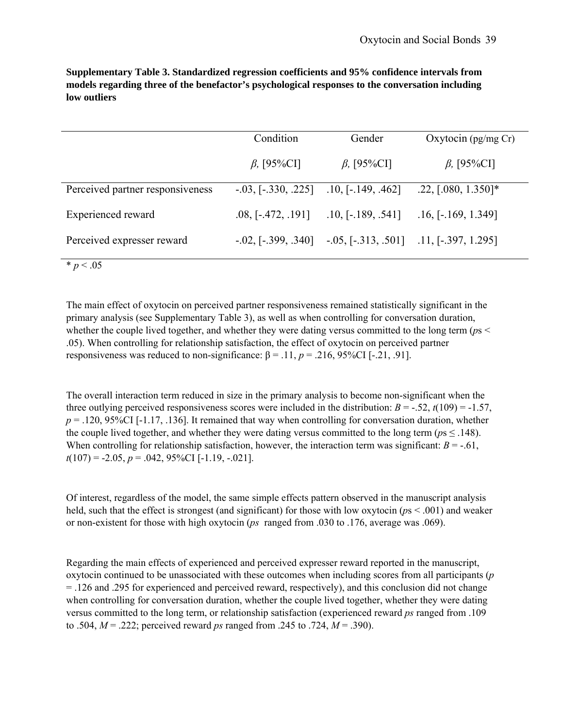|                                  | Condition                   | Gender                                                                              | Oxytocin $\frac{\text{pg}}{\text{mg}}$ Cr) |
|----------------------------------|-----------------------------|-------------------------------------------------------------------------------------|--------------------------------------------|
|                                  | $\beta$ , [95%CI]           | $\beta$ , [95%CI]                                                                   | $\beta$ , [95%CI]                          |
| Perceived partner responsiveness | $-0.03$ , $[-0.330, 0.225]$ | $.10,$ [-.149, .462]                                                                | $.22, [.080, 1.350]$ *                     |
| <b>Experienced</b> reward        | $.08,$ [-.472, .191]        | $.10,$ [-.189, .541]                                                                | $.16,$ [-.169, 1.349]                      |
| Perceived expresser reward       |                             | $-0.02$ , $[-0.399, 0.340]$ $-0.05$ , $[-0.313, 0.501]$ $-0.11$ , $[-0.397, 1.295]$ |                                            |

**Supplementary Table 3. Standardized regression coefficients and 95% confidence intervals from models regarding three of the benefactor's psychological responses to the conversation including low outliers** 

 $\frac{1}{p}$  *w*  $\frac{1}{p}$  < .05

The main effect of oxytocin on perceived partner responsiveness remained statistically significant in the primary analysis (see Supplementary Table 3), as well as when controlling for conversation duration, whether the couple lived together, and whether they were dating versus committed to the long term (*ps* < .05). When controlling for relationship satisfaction, the effect of oxytocin on perceived partner responsiveness was reduced to non-significance:  $β = .11$ ,  $p = .216$ , 95%CI [-.21, .91].

The overall interaction term reduced in size in the primary analysis to become non-significant when the three outlying perceived responsiveness scores were included in the distribution:  $B = -0.52$ ,  $t(109) = -1.57$ ,  $p = 0.120$ , 95%CI [-1.17, 0.136]. It remained that way when controlling for conversation duration, whether the couple lived together, and whether they were dating versus committed to the long term ( $p_s \leq 0.148$ ). When controlling for relationship satisfaction, however, the interaction term was significant:  $B = -0.61$ , *t*(107) = -2.05, *p* = .042, 95%CI [-1.19, -.021].

Of interest, regardless of the model, the same simple effects pattern observed in the manuscript analysis held, such that the effect is strongest (and significant) for those with low oxytocin (*p*s < .001) and weaker or non-existent for those with high oxytocin (*ps* ranged from .030 to .176, average was .069).

Regarding the main effects of experienced and perceived expresser reward reported in the manuscript, oxytocin continued to be unassociated with these outcomes when including scores from all participants (*p* = .126 and .295 for experienced and perceived reward, respectively), and this conclusion did not change when controlling for conversation duration, whether the couple lived together, whether they were dating versus committed to the long term, or relationship satisfaction (experienced reward *ps* ranged from .109 to .504,  $M = 0.222$ ; perceived reward *ps* ranged from .245 to .724,  $M = 0.390$ .